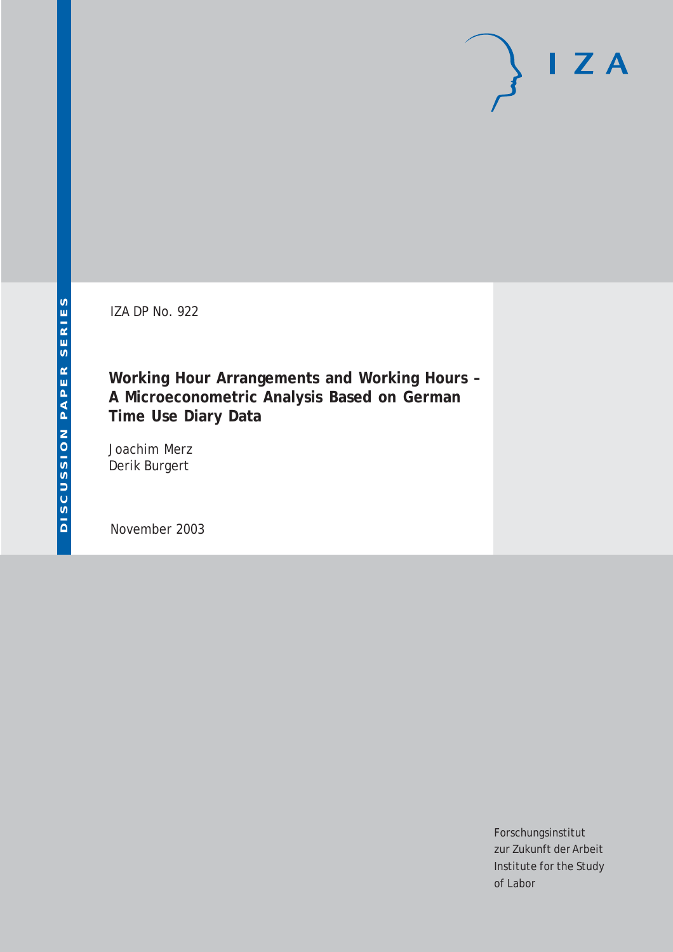IZA DP No. 922

**Working Hour Arrangements and Working Hours – A Microeconometric Analysis Based on German Time Use Diary Data**

Joachim Merz Derik Burgert

November 2003

Forschungsinstitut zur Zukunft der Arbeit Institute for the Study of Labor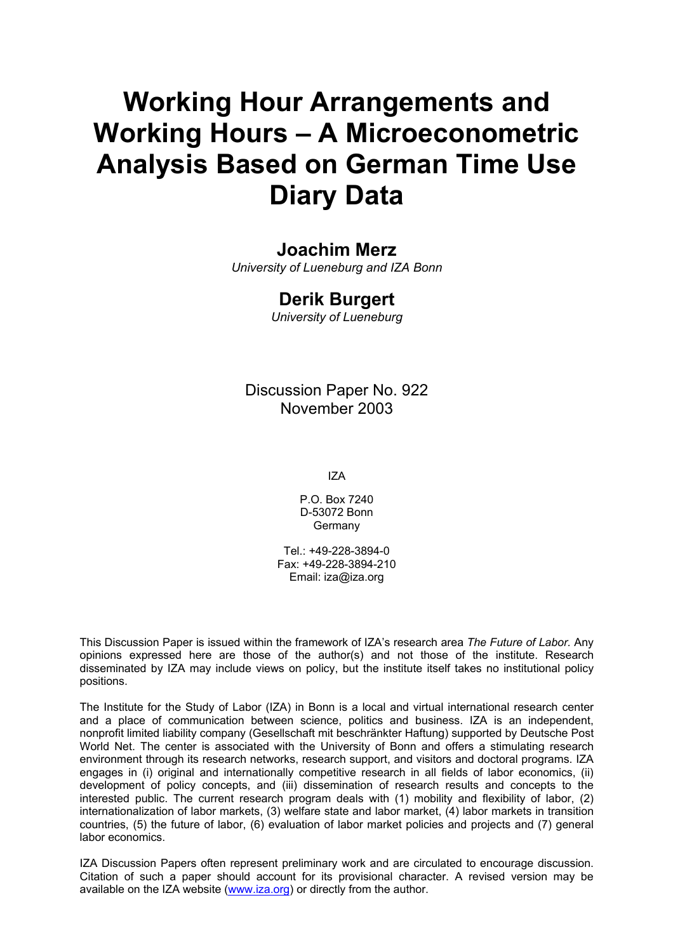# **Working Hour Arrangements and Working Hours – A Microeconometric Analysis Based on German Time Use Diary Data**

# **Joachim Merz**

*University of Lueneburg and IZA Bonn* 

# **Derik Burgert**

*University of Lueneburg*

Discussion Paper No. 922 November 2003

IZA

P.O. Box 7240 D-53072 Bonn **Germany** 

Tel.: +49-228-3894-0 Fax: +49-228-3894-210 Email: [iza@iza.org](mailto:iza@iza.org)

This Discussion Paper is issued within the framework of IZA's research area *The Future of Labor.* Any opinions expressed here are those of the author(s) and not those of the institute. Research disseminated by IZA may include views on policy, but the institute itself takes no institutional policy positions.

The Institute for the Study of Labor (IZA) in Bonn is a local and virtual international research center and a place of communication between science, politics and business. IZA is an independent, nonprofit limited liability company (Gesellschaft mit beschränkter Haftung) supported by Deutsche Post World Net. The center is associated with the University of Bonn and offers a stimulating research environment through its research networks, research support, and visitors and doctoral programs. IZA engages in (i) original and internationally competitive research in all fields of labor economics, (ii) development of policy concepts, and (iii) dissemination of research results and concepts to the interested public. The current research program deals with (1) mobility and flexibility of labor, (2) internationalization of labor markets, (3) welfare state and labor market, (4) labor markets in transition countries, (5) the future of labor, (6) evaluation of labor market policies and projects and (7) general labor economics.

IZA Discussion Papers often represent preliminary work and are circulated to encourage discussion. Citation of such a paper should account for its provisional character. A revised version may be available on the IZA website ([www.iza.org](http://www.iza.org/)) or directly from the author.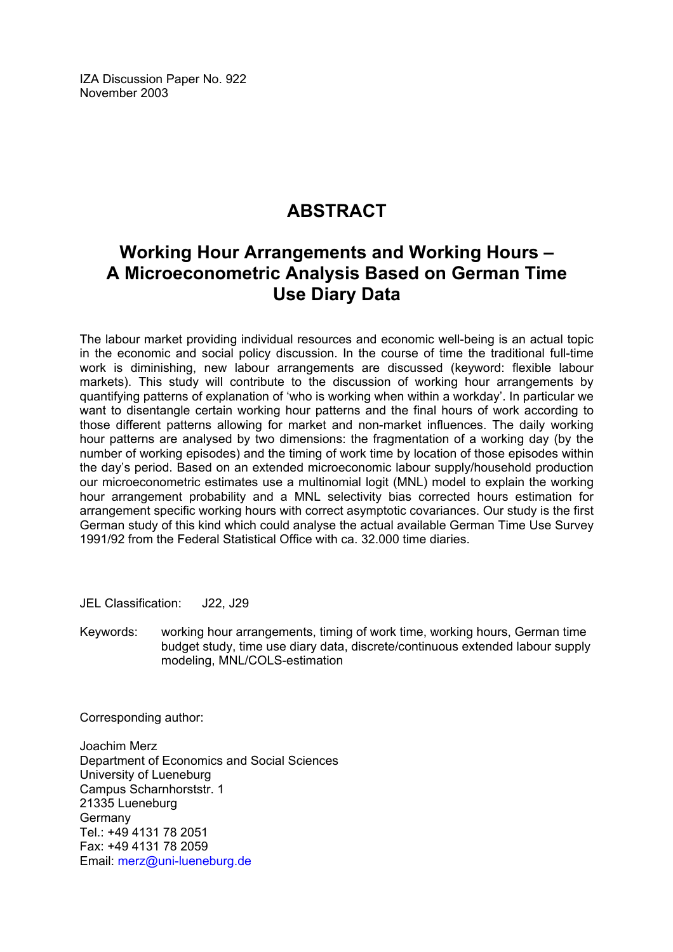IZA Discussion Paper No. 922 November 2003

# **ABSTRACT**

# **Working Hour Arrangements and Working Hours – A Microeconometric Analysis Based on German Time Use Diary Data**

The labour market providing individual resources and economic well-being is an actual topic in the economic and social policy discussion. In the course of time the traditional full-time work is diminishing, new labour arrangements are discussed (keyword: flexible labour markets). This study will contribute to the discussion of working hour arrangements by quantifying patterns of explanation of 'who is working when within a workday'. In particular we want to disentangle certain working hour patterns and the final hours of work according to those different patterns allowing for market and non-market influences. The daily working hour patterns are analysed by two dimensions: the fragmentation of a working day (by the number of working episodes) and the timing of work time by location of those episodes within the day's period. Based on an extended microeconomic labour supply/household production our microeconometric estimates use a multinomial logit (MNL) model to explain the working hour arrangement probability and a MNL selectivity bias corrected hours estimation for arrangement specific working hours with correct asymptotic covariances. Our study is the first German study of this kind which could analyse the actual available German Time Use Survey 1991/92 from the Federal Statistical Office with ca. 32.000 time diaries.

JEL Classification: J22, J29

Keywords: working hour arrangements, timing of work time, working hours, German time budget study, time use diary data, discrete/continuous extended labour supply modeling, MNL/COLS-estimation

Corresponding author:

Joachim Merz Department of Economics and Social Sciences University of Lueneburg Campus Scharnhorststr. 1 21335 Lueneburg Germany Tel.: +49 4131 78 2051 Fax: +49 4131 78 2059 Email: [merz@uni-lueneburg.de](mailto:merz@uni-lueneburg.de)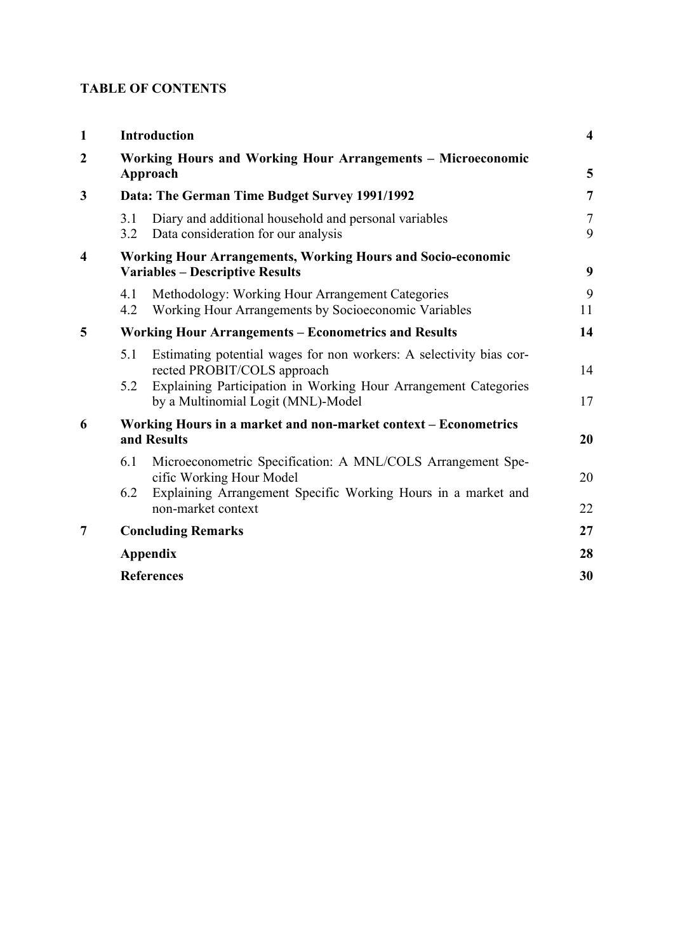# **TABLE OF CONTENTS**

| $\mathbf{1}$            | <b>Introduction</b> |                                                                                                                                                                       |                |  |  |  |
|-------------------------|---------------------|-----------------------------------------------------------------------------------------------------------------------------------------------------------------------|----------------|--|--|--|
| $\boldsymbol{2}$        |                     | Working Hours and Working Hour Arrangements - Microeconomic<br>Approach                                                                                               | 5              |  |  |  |
| 3                       |                     | Data: The German Time Budget Survey 1991/1992                                                                                                                         | $\overline{7}$ |  |  |  |
|                         | 3.1<br>3.2          | Diary and additional household and personal variables<br>Data consideration for our analysis                                                                          | $\tau$<br>9    |  |  |  |
| $\overline{\mathbf{4}}$ |                     | <b>Working Hour Arrangements, Working Hours and Socio-economic</b><br><b>Variables - Descriptive Results</b>                                                          | 9              |  |  |  |
|                         | 4.1<br>4.2          | Methodology: Working Hour Arrangement Categories<br>Working Hour Arrangements by Socioeconomic Variables                                                              | 9<br>11        |  |  |  |
| 5                       |                     | <b>Working Hour Arrangements – Econometrics and Results</b>                                                                                                           | 14             |  |  |  |
|                         | 5.1<br>5.2          | Estimating potential wages for non workers: A selectivity bias cor-<br>rected PROBIT/COLS approach<br>Explaining Participation in Working Hour Arrangement Categories | 14             |  |  |  |
|                         |                     | by a Multinomial Logit (MNL)-Model                                                                                                                                    | 17             |  |  |  |
| 6                       |                     | Working Hours in a market and non-market context - Econometrics<br>and Results                                                                                        | 20             |  |  |  |
|                         | 6.1                 | Microeconometric Specification: A MNL/COLS Arrangement Spe-<br>cific Working Hour Model                                                                               | 20             |  |  |  |
|                         | 6.2                 | Explaining Arrangement Specific Working Hours in a market and<br>non-market context                                                                                   | 22             |  |  |  |
| 7                       |                     | <b>Concluding Remarks</b>                                                                                                                                             | 27             |  |  |  |
|                         |                     | <b>Appendix</b>                                                                                                                                                       | 28             |  |  |  |
|                         |                     | <b>References</b>                                                                                                                                                     |                |  |  |  |
|                         |                     |                                                                                                                                                                       |                |  |  |  |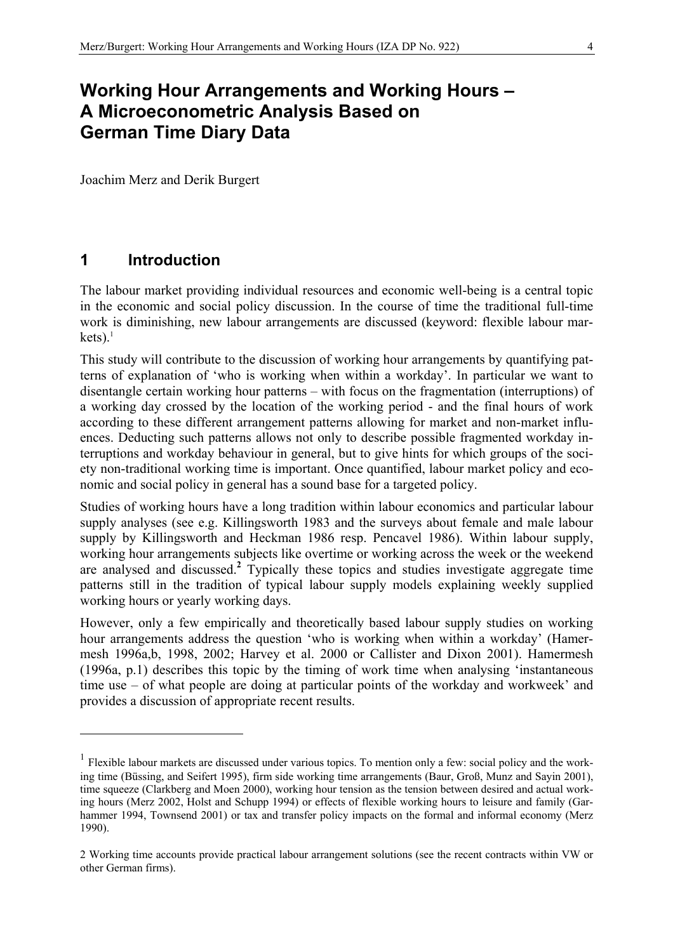# **Working Hour Arrangements and Working Hours – A Microeconometric Analysis Based on German Time Diary Data**

Joachim Merz and Derik Burgert

# **1 Introduction**

1

The labour market providing individual resources and economic well-being is a central topic in the economic and social policy discussion. In the course of time the traditional full-time work is diminishing, new labour arrangements are discussed (keyword: flexible labour mar $kets$ ).<sup>1</sup>

This study will contribute to the discussion of working hour arrangements by quantifying patterns of explanation of 'who is working when within a workday'. In particular we want to disentangle certain working hour patterns – with focus on the fragmentation (interruptions) of a working day crossed by the location of the working period - and the final hours of work according to these different arrangement patterns allowing for market and non-market influences. Deducting such patterns allows not only to describe possible fragmented workday interruptions and workday behaviour in general, but to give hints for which groups of the society non-traditional working time is important. Once quantified, labour market policy and economic and social policy in general has a sound base for a targeted policy.

Studies of working hours have a long tradition within labour economics and particular labour supply analyses (see e.g. Killingsworth 1983 and the surveys about female and male labour supply by Killingsworth and Heckman 1986 resp. Pencavel 1986). Within labour supply, working hour arrangements subjects like overtime or working across the week or the weekend are analysed and discussed.<sup>2</sup> Typically these topics and studies investigate aggregate time patterns still in the tradition of typical labour supply models explaining weekly supplied working hours or yearly working days.

However, only a few empirically and theoretically based labour supply studies on working hour arrangements address the question 'who is working when within a workday' (Hamermesh 1996a,b, 1998, 2002; Harvey et al. 2000 or Callister and Dixon 2001). Hamermesh (1996a, p.1) describes this topic by the timing of work time when analysing 'instantaneous time use – of what people are doing at particular points of the workday and workweek' and provides a discussion of appropriate recent results.

<sup>&</sup>lt;sup>1</sup> Flexible labour markets are discussed under various topics. To mention only a few: social policy and the working time (Büssing, and Seifert 1995), firm side working time arrangements (Baur, Groß, Munz and Sayin 2001), time squeeze (Clarkberg and Moen 2000), working hour tension as the tension between desired and actual working hours (Merz 2002, Holst and Schupp 1994) or effects of flexible working hours to leisure and family (Garhammer 1994, Townsend 2001) or tax and transfer policy impacts on the formal and informal economy (Merz 1990).

<sup>2</sup> Working time accounts provide practical labour arrangement solutions (see the recent contracts within VW or other German firms).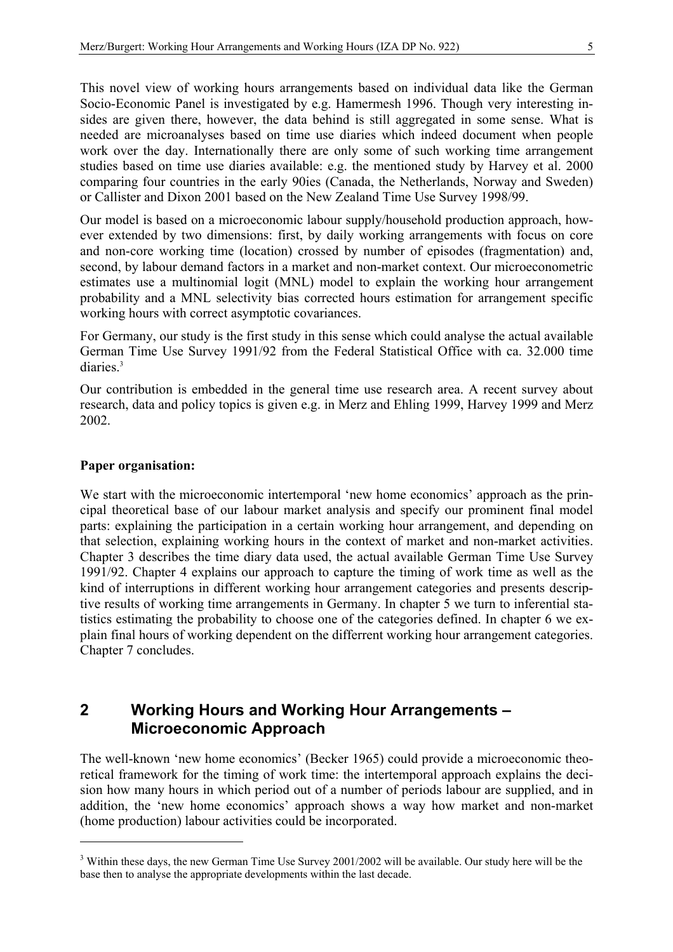This novel view of working hours arrangements based on individual data like the German Socio-Economic Panel is investigated by e.g. Hamermesh 1996. Though very interesting insides are given there, however, the data behind is still aggregated in some sense. What is needed are microanalyses based on time use diaries which indeed document when people work over the day. Internationally there are only some of such working time arrangement studies based on time use diaries available: e.g. the mentioned study by Harvey et al. 2000 comparing four countries in the early 90ies (Canada, the Netherlands, Norway and Sweden) or Callister and Dixon 2001 based on the New Zealand Time Use Survey 1998/99.

Our model is based on a microeconomic labour supply/household production approach, however extended by two dimensions: first, by daily working arrangements with focus on core and non-core working time (location) crossed by number of episodes (fragmentation) and, second, by labour demand factors in a market and non-market context. Our microeconometric estimates use a multinomial logit (MNL) model to explain the working hour arrangement probability and a MNL selectivity bias corrected hours estimation for arrangement specific working hours with correct asymptotic covariances.

For Germany, our study is the first study in this sense which could analyse the actual available German Time Use Survey 1991/92 from the Federal Statistical Office with ca. 32.000 time diaries.<sup>3</sup>

Our contribution is embedded in the general time use research area. A recent survey about research, data and policy topics is given e.g. in Merz and Ehling 1999, Harvey 1999 and Merz 2002.

#### **Paper organisation:**

1

We start with the microeconomic intertemporal 'new home economics' approach as the principal theoretical base of our labour market analysis and specify our prominent final model parts: explaining the participation in a certain working hour arrangement, and depending on that selection, explaining working hours in the context of market and non-market activities. Chapter 3 describes the time diary data used, the actual available German Time Use Survey 1991/92. Chapter 4 explains our approach to capture the timing of work time as well as the kind of interruptions in different working hour arrangement categories and presents descriptive results of working time arrangements in Germany. In chapter 5 we turn to inferential statistics estimating the probability to choose one of the categories defined. In chapter 6 we explain final hours of working dependent on the differrent working hour arrangement categories. Chapter 7 concludes.

# **2 Working Hours and Working Hour Arrangements – Microeconomic Approach**

The well-known 'new home economics' (Becker 1965) could provide a microeconomic theoretical framework for the timing of work time: the intertemporal approach explains the decision how many hours in which period out of a number of periods labour are supplied, and in addition, the 'new home economics' approach shows a way how market and non-market (home production) labour activities could be incorporated.

<sup>&</sup>lt;sup>3</sup> Within these days, the new German Time Use Survey 2001/2002 will be available. Our study here will be the base then to analyse the appropriate developments within the last decade.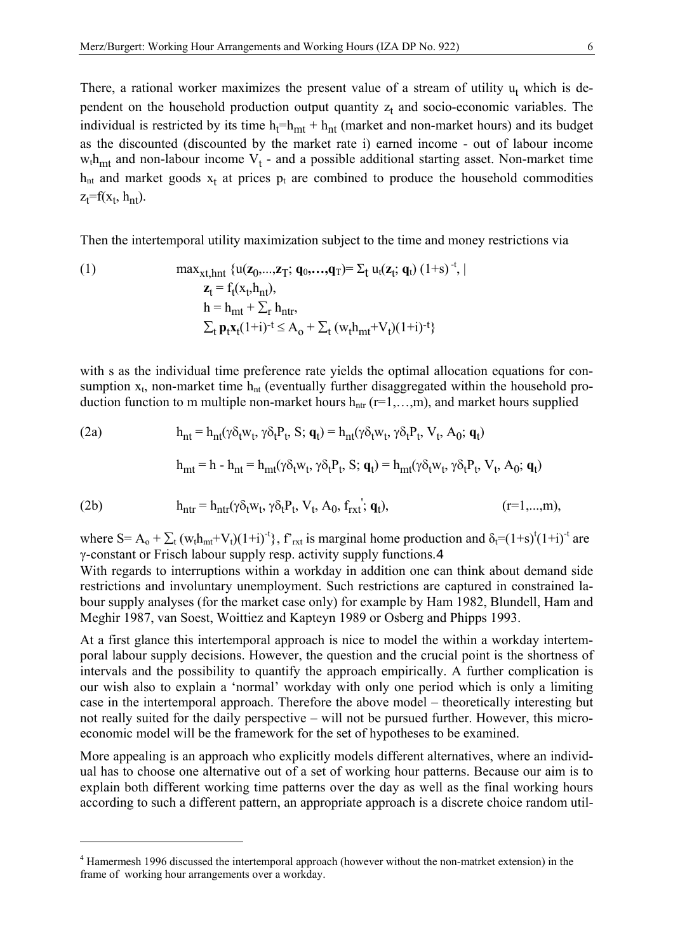There, a rational worker maximizes the present value of a stream of utility  $u_t$  which is dependent on the household production output quantity  $z_t$  and socio-economic variables. The individual is restricted by its time  $h_t = h_{mt} + h_{nt}$  (market and non-market hours) and its budget as the discounted (discounted by the market rate i) earned income - out of labour income  $w<sub>t</sub>h<sub>mt</sub>$  and non-labour income  $V<sub>t</sub>$  - and a possible additional starting asset. Non-market time  $h_{nt}$  and market goods  $x_t$  at prices  $p_t$  are combined to produce the household commodities  $z_t = f(x_t, h_{nt}).$ 

Then the intertemporal utility maximization subject to the time and money restrictions via

(1) 
$$
\max_{\mathbf{x}t, hnt} \{u(\mathbf{z}_0, ..., \mathbf{z}_T; \mathbf{q}_0, ..., \mathbf{q}_T) = \Sigma_t u_t(\mathbf{z}_t; \mathbf{q}_t) (1+s)^{-t}, |
$$

$$
\mathbf{z}_t = f_t(\mathbf{x}_t, h_{nt}),
$$

$$
h = h_{mt} + \Sigma_r h_{ntr},
$$

$$
\Sigma_t \mathbf{p}_t \mathbf{x}_t (1+i)^{-t} \leq A_0 + \Sigma_t (w_t h_{mt} + V_t) (1+i)^{-t} \}
$$

with s as the individual time preference rate yields the optimal allocation equations for consumption  $x_t$ , non-market time  $h_{nt}$  (eventually further disaggregated within the household production function to m multiple non-market hours  $h_{\text{nr}}$  (r=1,…,m), and market hours supplied

(2a) 
$$
h_{nt} = h_{nt}(\gamma \delta_t w_t, \gamma \delta_t P_t, S; \mathbf{q}_t) = h_{nt}(\gamma \delta_t w_t, \gamma \delta_t P_t, V_t, A_0; \mathbf{q}_t)
$$

$$
h_{mt} = h - h_{nt} = h_{mt}(\gamma \delta_t w_t, \gamma \delta_t P_t, S; \mathbf{q}_t) = h_{mt}(\gamma \delta_t w_t, \gamma \delta_t P_t, V_t, A_0; \mathbf{q}_t)
$$

(2b) 
$$
h_{ntr} = h_{ntr}(\gamma \delta_t w_t, \gamma \delta_t P_t, V_t, A_0, f_{rxt}; \mathbf{q}_t),
$$
  $(r=1,...,m),$ 

where  $S = A_0 + \sum_t (w_t h_{mt} + V_t)(1+i)^{-t}$ ,  $f'_{rxt}$  is marginal home production and  $\delta_t = (1+s)^t (1+i)^{-t}$  are γ-constant or Frisch labour supply resp. activity supply functions.4

With regards to interruptions within a workday in addition one can think about demand side restrictions and involuntary unemployment. Such restrictions are captured in constrained labour supply analyses (for the market case only) for example by Ham 1982, Blundell, Ham and Meghir 1987, van Soest, Woittiez and Kapteyn 1989 or Osberg and Phipps 1993.

At a first glance this intertemporal approach is nice to model the within a workday intertemporal labour supply decisions. However, the question and the crucial point is the shortness of intervals and the possibility to quantify the approach empirically. A further complication is our wish also to explain a 'normal' workday with only one period which is only a limiting case in the intertemporal approach. Therefore the above model – theoretically interesting but not really suited for the daily perspective – will not be pursued further. However, this microeconomic model will be the framework for the set of hypotheses to be examined.

More appealing is an approach who explicitly models different alternatives, where an individual has to choose one alternative out of a set of working hour patterns. Because our aim is to explain both different working time patterns over the day as well as the final working hours according to such a different pattern, an appropriate approach is a discrete choice random util-

1

<sup>&</sup>lt;sup>4</sup> Hamermesh 1996 discussed the intertemporal approach (however without the non-matrket extension) in the frame of working hour arrangements over a workday.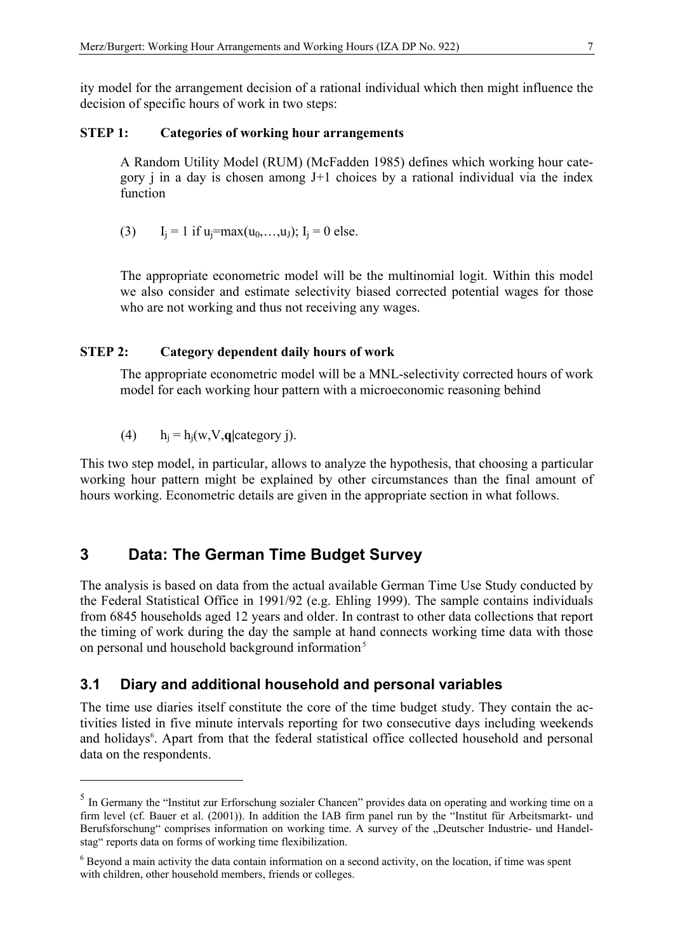ity model for the arrangement decision of a rational individual which then might influence the decision of specific hours of work in two steps:

#### **STEP 1: Categories of working hour arrangements**

 A Random Utility Model (RUM) (McFadden 1985) defines which working hour category *i* in a day is chosen among  $J+1$  choices by a rational individual via the index function

(3)  $I_i = 1$  if  $u_i = max(u_0, \ldots, u_J)$ ;  $I_i = 0$  else.

 The appropriate econometric model will be the multinomial logit. Within this model we also consider and estimate selectivity biased corrected potential wages for those who are not working and thus not receiving any wages.

#### **STEP 2: Category dependent daily hours of work**

 The appropriate econometric model will be a MNL-selectivity corrected hours of work model for each working hour pattern with a microeconomic reasoning behind

(4)  $h_i = h_i(w, V, \mathbf{q})$  [category j).

<u>.</u>

This two step model, in particular, allows to analyze the hypothesis, that choosing a particular working hour pattern might be explained by other circumstances than the final amount of hours working. Econometric details are given in the appropriate section in what follows.

# **3 Data: The German Time Budget Survey**

The analysis is based on data from the actual available German Time Use Study conducted by the Federal Statistical Office in 1991/92 (e.g. Ehling 1999). The sample contains individuals from 6845 households aged 12 years and older. In contrast to other data collections that report the timing of work during the day the sample at hand connects working time data with those on personal und household background information<sup>5</sup>

# **3.1 Diary and additional household and personal variables**

The time use diaries itself constitute the core of the time budget study. They contain the activities listed in five minute intervals reporting for two consecutive days including weekends and holidays<sup>6</sup>. Apart from that the federal statistical office collected household and personal data on the respondents.

<sup>5</sup> In Germany the "Institut zur Erforschung sozialer Chancen" provides data on operating and working time on a firm level (cf. Bauer et al. (2001)). In addition the IAB firm panel run by the "Institut für Arbeitsmarkt- und Berufsforschung" comprises information on working time. A survey of the "Deutscher Industrie- und Handelstag" reports data on forms of working time flexibilization.

<sup>&</sup>lt;sup>6</sup> Beyond a main activity the data contain information on a second activity, on the location, if time was spent with children, other household members, friends or colleges.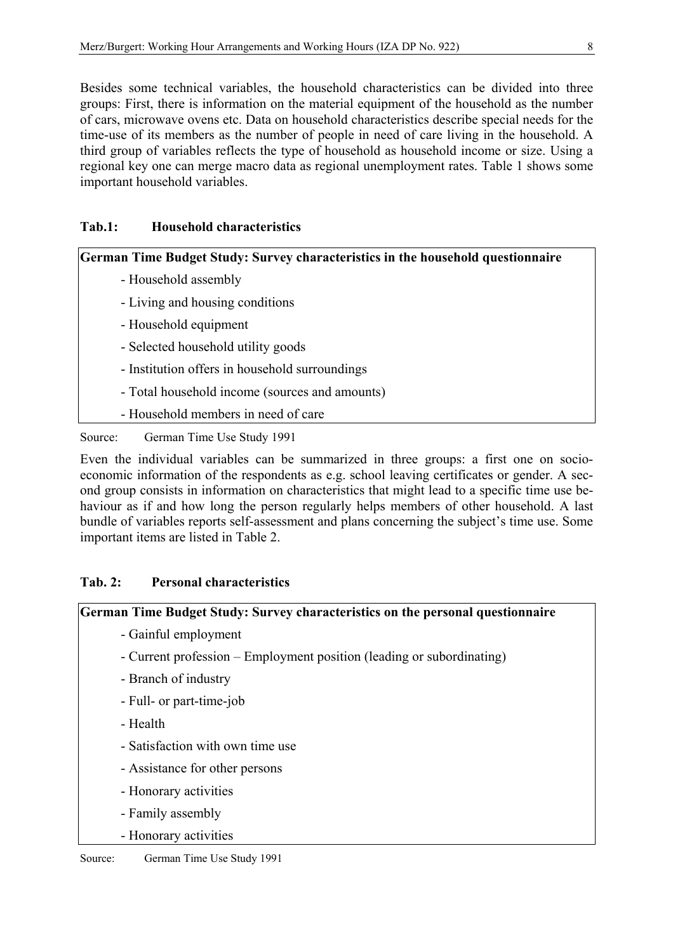Besides some technical variables, the household characteristics can be divided into three groups: First, there is information on the material equipment of the household as the number of cars, microwave ovens etc. Data on household characteristics describe special needs for the time-use of its members as the number of people in need of care living in the household. A third group of variables reflects the type of household as household income or size. Using a regional key one can merge macro data as regional unemployment rates. Table 1 shows some important household variables.

# **Tab.1: Household characteristics**

| German Time Budget Study: Survey characteristics in the household questionnaire |
|---------------------------------------------------------------------------------|
| - Household assembly                                                            |
| - Living and housing conditions                                                 |
| - Household equipment                                                           |
| - Selected household utility goods                                              |
| - Institution offers in household surroundings                                  |
| - Total household income (sources and amounts)                                  |
| - Household members in need of care                                             |
| German Time Use Study 1991<br>Source:                                           |

Even the individual variables can be summarized in three groups: a first one on socioeconomic information of the respondents as e.g. school leaving certificates or gender. A second group consists in information on characteristics that might lead to a specific time use behaviour as if and how long the person regularly helps members of other household. A last bundle of variables reports self-assessment and plans concerning the subject's time use. Some important items are listed in Table 2.

# **Tab. 2: Personal characteristics**

### **German Time Budget Study: Survey characteristics on the personal questionnaire**

- Gainful employment
- Current profession Employment position (leading or subordinating)
- Branch of industry
- Full- or part-time-job
- Health
- Satisfaction with own time use
- Assistance for other persons
- Honorary activities
- Family assembly
- Honorary activities

#### Source: German Time Use Study 1991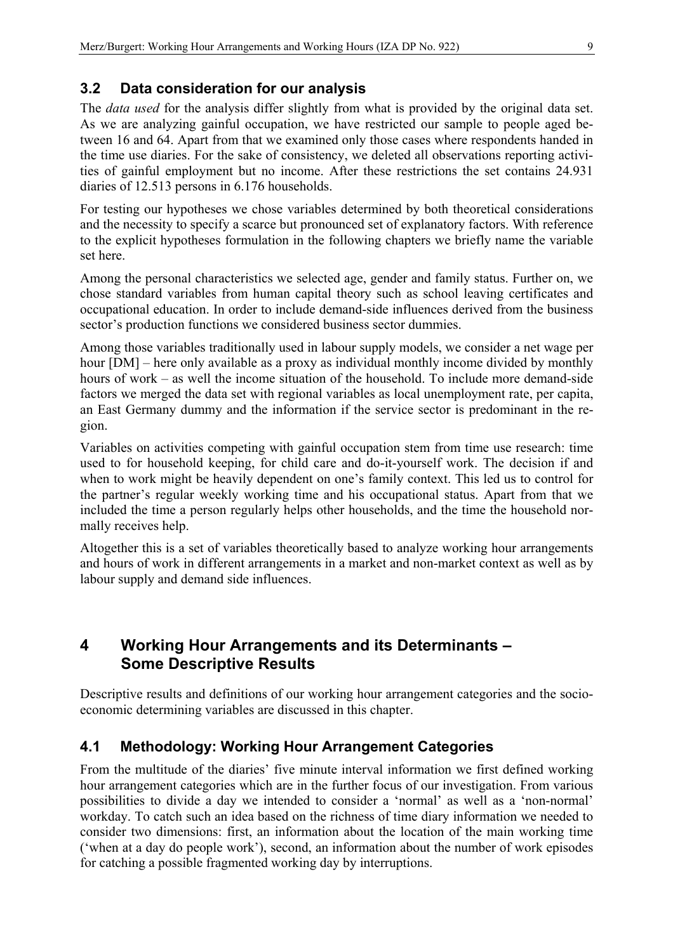### **3.2 Data consideration for our analysis**

The *data used* for the analysis differ slightly from what is provided by the original data set. As we are analyzing gainful occupation, we have restricted our sample to people aged between 16 and 64. Apart from that we examined only those cases where respondents handed in the time use diaries. For the sake of consistency, we deleted all observations reporting activities of gainful employment but no income. After these restrictions the set contains 24.931 diaries of 12.513 persons in 6.176 households.

For testing our hypotheses we chose variables determined by both theoretical considerations and the necessity to specify a scarce but pronounced set of explanatory factors. With reference to the explicit hypotheses formulation in the following chapters we briefly name the variable set here.

Among the personal characteristics we selected age, gender and family status. Further on, we chose standard variables from human capital theory such as school leaving certificates and occupational education. In order to include demand-side influences derived from the business sector's production functions we considered business sector dummies.

Among those variables traditionally used in labour supply models, we consider a net wage per hour [DM] – here only available as a proxy as individual monthly income divided by monthly hours of work – as well the income situation of the household. To include more demand-side factors we merged the data set with regional variables as local unemployment rate, per capita, an East Germany dummy and the information if the service sector is predominant in the region.

Variables on activities competing with gainful occupation stem from time use research: time used to for household keeping, for child care and do-it-yourself work. The decision if and when to work might be heavily dependent on one's family context. This led us to control for the partner's regular weekly working time and his occupational status. Apart from that we included the time a person regularly helps other households, and the time the household normally receives help.

Altogether this is a set of variables theoretically based to analyze working hour arrangements and hours of work in different arrangements in a market and non-market context as well as by labour supply and demand side influences.

# **4 Working Hour Arrangements and its Determinants – Some Descriptive Results**

Descriptive results and definitions of our working hour arrangement categories and the socioeconomic determining variables are discussed in this chapter.

# **4.1 Methodology: Working Hour Arrangement Categories**

From the multitude of the diaries' five minute interval information we first defined working hour arrangement categories which are in the further focus of our investigation. From various possibilities to divide a day we intended to consider a 'normal' as well as a 'non-normal' workday. To catch such an idea based on the richness of time diary information we needed to consider two dimensions: first, an information about the location of the main working time ('when at a day do people work'), second, an information about the number of work episodes for catching a possible fragmented working day by interruptions.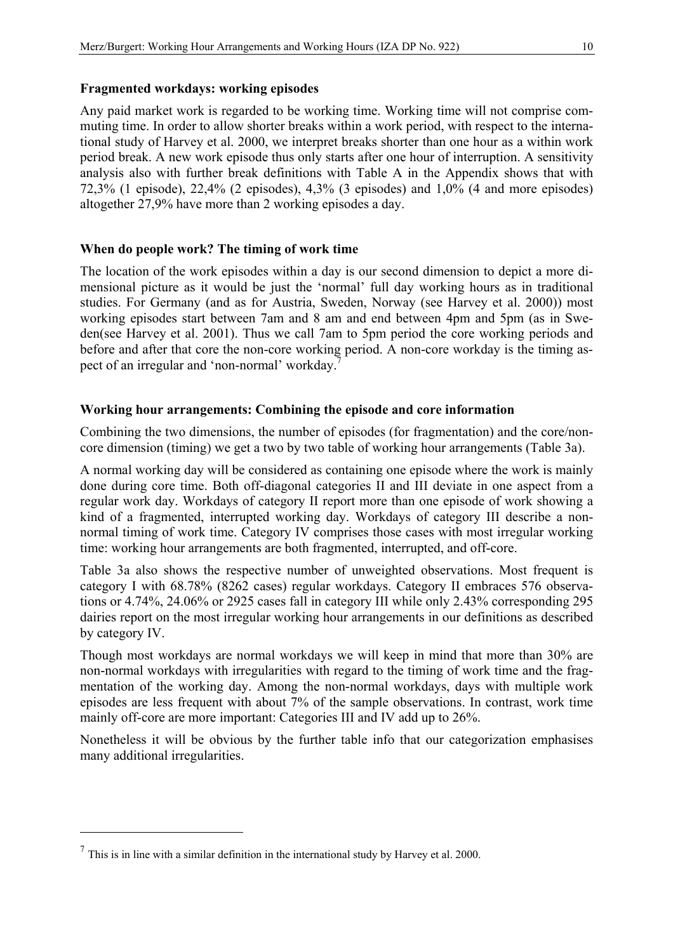#### **Fragmented workdays: working episodes**

Any paid market work is regarded to be working time. Working time will not comprise commuting time. In order to allow shorter breaks within a work period, with respect to the international study of Harvey et al. 2000, we interpret breaks shorter than one hour as a within work period break. A new work episode thus only starts after one hour of interruption. A sensitivity analysis also with further break definitions with Table A in the Appendix shows that with 72,3% (1 episode), 22,4% (2 episodes), 4,3% (3 episodes) and 1,0% (4 and more episodes) altogether 27,9% have more than 2 working episodes a day.

#### **When do people work? The timing of work time**

The location of the work episodes within a day is our second dimension to depict a more dimensional picture as it would be just the 'normal' full day working hours as in traditional studies. For Germany (and as for Austria, Sweden, Norway (see Harvey et al. 2000)) most working episodes start between 7am and 8 am and end between 4pm and 5pm (as in Sweden(see Harvey et al. 2001). Thus we call 7am to 5pm period the core working periods and before and after that core the non-core working period. A non-core workday is the timing aspect of an irregular and 'non-normal' workday.

#### **Working hour arrangements: Combining the episode and core information**

Combining the two dimensions, the number of episodes (for fragmentation) and the core/noncore dimension (timing) we get a two by two table of working hour arrangements (Table 3a).

A normal working day will be considered as containing one episode where the work is mainly done during core time. Both off-diagonal categories II and III deviate in one aspect from a regular work day. Workdays of category II report more than one episode of work showing a kind of a fragmented, interrupted working day. Workdays of category III describe a nonnormal timing of work time. Category IV comprises those cases with most irregular working time: working hour arrangements are both fragmented, interrupted, and off-core.

Table 3a also shows the respective number of unweighted observations. Most frequent is category I with 68.78% (8262 cases) regular workdays. Category II embraces 576 observations or 4.74%, 24.06% or 2925 cases fall in category III while only 2.43% corresponding 295 dairies report on the most irregular working hour arrangements in our definitions as described by category IV.

Though most workdays are normal workdays we will keep in mind that more than 30% are non-normal workdays with irregularities with regard to the timing of work time and the fragmentation of the working day. Among the non-normal workdays, days with multiple work episodes are less frequent with about 7% of the sample observations. In contrast, work time mainly off-core are more important: Categories III and IV add up to 26%.

Nonetheless it will be obvious by the further table info that our categorization emphasises many additional irregularities.

1

 $<sup>7</sup>$  This is in line with a similar definition in the international study by Harvey et al. 2000.</sup>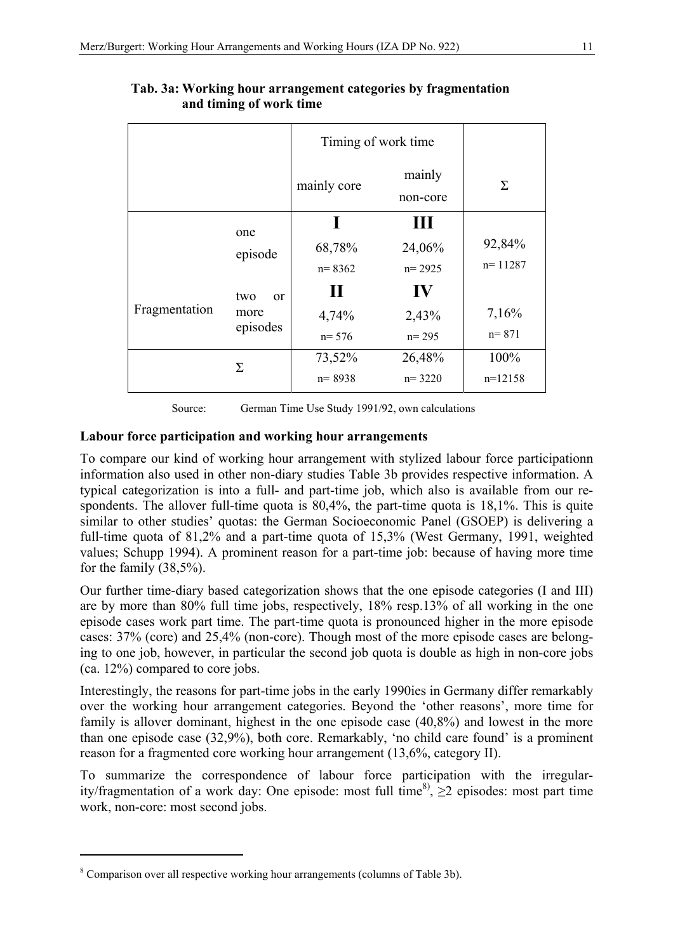|               |                                          | Timing of work time |                    |           |
|---------------|------------------------------------------|---------------------|--------------------|-----------|
|               |                                          | mainly core         | mainly<br>non-core | Σ         |
|               | one                                      | $\mathbf I$         | Ш                  |           |
|               | episode                                  |                     | 24,06%             | 92,84%    |
|               |                                          | $n = 8362$          | $n = 2925$         | $n=11287$ |
|               | two<br><sub>or</sub><br>more<br>episodes | $\mathbf H$         | IV                 |           |
| Fragmentation |                                          | 4,74%               | 2,43%              | 7,16%     |
|               |                                          | $n = 576$           | $n = 295$          | $n = 871$ |
|               | Σ                                        | 73,52%              | 26,48%             | 100%      |
|               |                                          | $n = 8938$          | $n = 3220$         | $n=12158$ |

### **Tab. 3a: Working hour arrangement categories by fragmentation and timing of work time**

Source: German Time Use Study 1991/92, own calculations

#### **Labour force participation and working hour arrangements**

To compare our kind of working hour arrangement with stylized labour force participationn information also used in other non-diary studies Table 3b provides respective information. A typical categorization is into a full- and part-time job, which also is available from our respondents. The allover full-time quota is 80,4%, the part-time quota is 18,1%. This is quite similar to other studies' quotas: the German Socioeconomic Panel (GSOEP) is delivering a full-time quota of 81,2% and a part-time quota of 15,3% (West Germany, 1991, weighted values; Schupp 1994). A prominent reason for a part-time job: because of having more time for the family (38,5%).

Our further time-diary based categorization shows that the one episode categories (I and III) are by more than 80% full time jobs, respectively, 18% resp.13% of all working in the one episode cases work part time. The part-time quota is pronounced higher in the more episode cases: 37% (core) and 25,4% (non-core). Though most of the more episode cases are belonging to one job, however, in particular the second job quota is double as high in non-core jobs (ca. 12%) compared to core jobs.

Interestingly, the reasons for part-time jobs in the early 1990ies in Germany differ remarkably over the working hour arrangement categories. Beyond the 'other reasons', more time for family is allover dominant, highest in the one episode case (40,8%) and lowest in the more than one episode case (32,9%), both core. Remarkably, 'no child care found' is a prominent reason for a fragmented core working hour arrangement (13,6%, category II).

To summarize the correspondence of labour force participation with the irregularity/fragmentation of a work day: One episode: most full time<sup>8)</sup>,  $\geq$ 2 episodes: most part time work, non-core: most second jobs.

1

<sup>&</sup>lt;sup>8</sup> Comparison over all respective working hour arrangements (columns of Table 3b).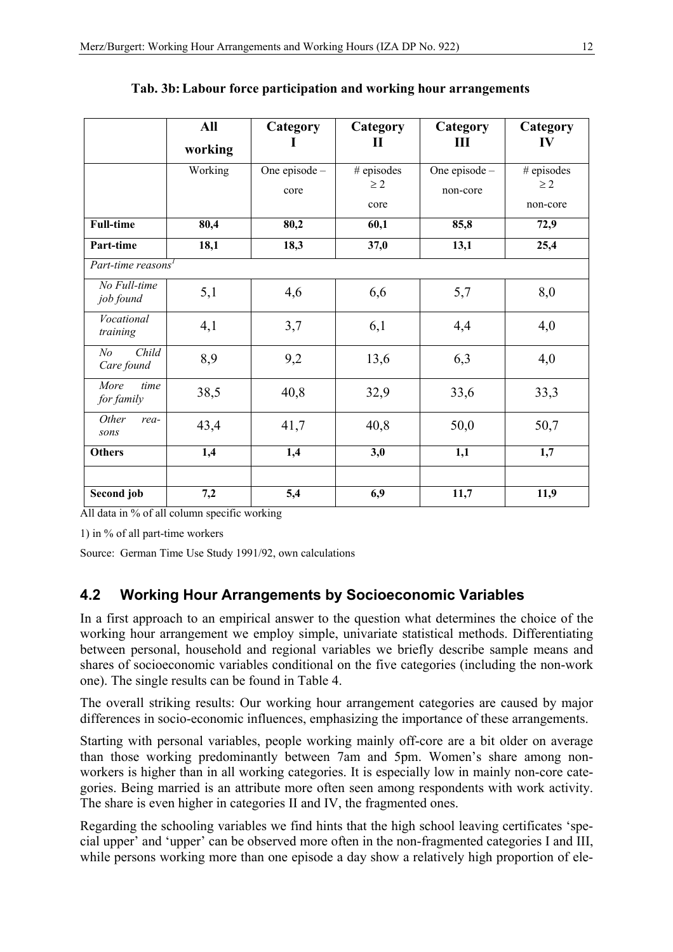|                                | All<br>working | Category              | Category<br>Н                  | Category<br>Ш             | Category<br>IV                     |
|--------------------------------|----------------|-----------------------|--------------------------------|---------------------------|------------------------------------|
|                                | Working        | One episode -<br>core | # episodes<br>$\geq$ 2<br>core | One episode -<br>non-core | # episodes<br>$\geq$ 2<br>non-core |
| <b>Full-time</b>               | 80,4           | 80,2                  | 60,1                           | 85,8                      | 72,9                               |
| Part-time                      | 18,1           | 18,3                  | 37,0                           | 13,1                      | 25,4                               |
| Part-time reasons <sup>1</sup> |                |                       |                                |                           |                                    |
| No Full-time<br>job found      | 5,1            | 4,6                   | 6,6                            | 5,7                       | 8,0                                |
| Vocational<br>training         | 4,1            | 3,7                   | 6,1                            | 4,4                       | 4,0                                |
| Child<br>No<br>Care found      | 8,9            | 9,2                   | 13,6                           | 6,3                       | 4,0                                |
| More<br>time<br>for family     | 38,5           | 40,8                  | 32,9                           | 33,6                      | 33,3                               |
| Other<br>rea-<br>sons          | 43,4           | 41,7                  | 40,8                           | 50,0                      | 50,7                               |
| <b>Others</b>                  | 1,4            | 1,4                   | 3,0                            | 1,1                       | 1,7                                |
| Second job                     | 7,2            | 5,4                   | 6,9                            | 11,7                      | 11,9                               |

|  |  | Tab. 3b: Labour force participation and working hour arrangements |
|--|--|-------------------------------------------------------------------|
|  |  |                                                                   |

All data in % of all column specific working

1) in % of all part-time workers

Source: German Time Use Study 1991/92, own calculations

# **4.2 Working Hour Arrangements by Socioeconomic Variables**

In a first approach to an empirical answer to the question what determines the choice of the working hour arrangement we employ simple, univariate statistical methods. Differentiating between personal, household and regional variables we briefly describe sample means and shares of socioeconomic variables conditional on the five categories (including the non-work one). The single results can be found in Table 4.

The overall striking results: Our working hour arrangement categories are caused by major differences in socio-economic influences, emphasizing the importance of these arrangements.

Starting with personal variables, people working mainly off-core are a bit older on average than those working predominantly between 7am and 5pm. Women's share among nonworkers is higher than in all working categories. It is especially low in mainly non-core categories. Being married is an attribute more often seen among respondents with work activity. The share is even higher in categories II and IV, the fragmented ones.

Regarding the schooling variables we find hints that the high school leaving certificates 'special upper' and 'upper' can be observed more often in the non-fragmented categories I and III, while persons working more than one episode a day show a relatively high proportion of ele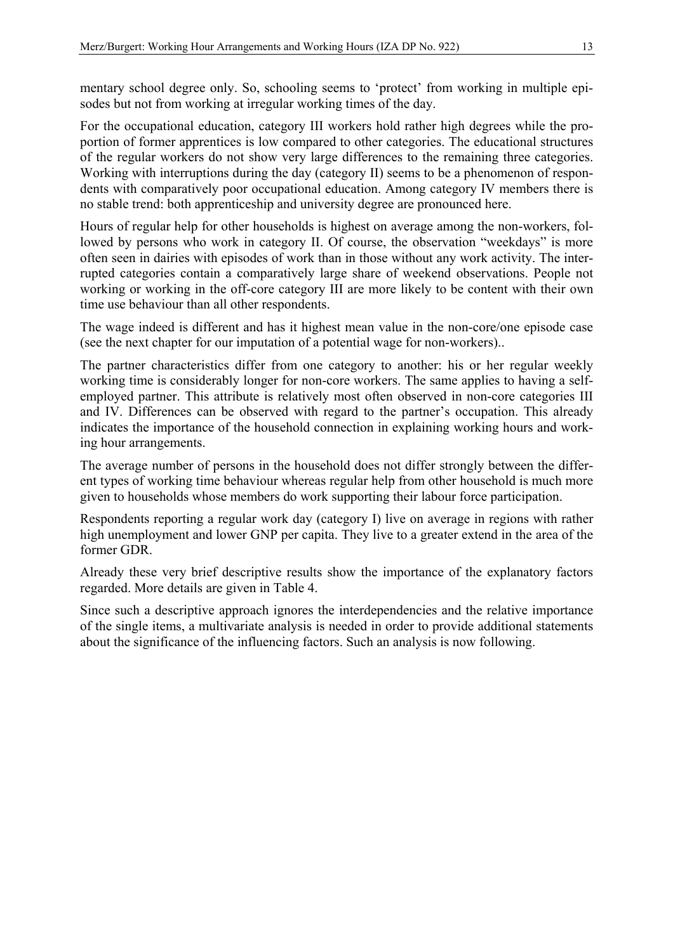mentary school degree only. So, schooling seems to 'protect' from working in multiple episodes but not from working at irregular working times of the day.

For the occupational education, category III workers hold rather high degrees while the proportion of former apprentices is low compared to other categories. The educational structures of the regular workers do not show very large differences to the remaining three categories. Working with interruptions during the day (category II) seems to be a phenomenon of respondents with comparatively poor occupational education. Among category IV members there is no stable trend: both apprenticeship and university degree are pronounced here.

Hours of regular help for other households is highest on average among the non-workers, followed by persons who work in category II. Of course, the observation "weekdays" is more often seen in dairies with episodes of work than in those without any work activity. The interrupted categories contain a comparatively large share of weekend observations. People not working or working in the off-core category III are more likely to be content with their own time use behaviour than all other respondents.

The wage indeed is different and has it highest mean value in the non-core/one episode case (see the next chapter for our imputation of a potential wage for non-workers)..

The partner characteristics differ from one category to another: his or her regular weekly working time is considerably longer for non-core workers. The same applies to having a selfemployed partner. This attribute is relatively most often observed in non-core categories III and IV. Differences can be observed with regard to the partner's occupation. This already indicates the importance of the household connection in explaining working hours and working hour arrangements.

The average number of persons in the household does not differ strongly between the different types of working time behaviour whereas regular help from other household is much more given to households whose members do work supporting their labour force participation.

Respondents reporting a regular work day (category I) live on average in regions with rather high unemployment and lower GNP per capita. They live to a greater extend in the area of the former GDR.

Already these very brief descriptive results show the importance of the explanatory factors regarded. More details are given in Table 4.

Since such a descriptive approach ignores the interdependencies and the relative importance of the single items, a multivariate analysis is needed in order to provide additional statements about the significance of the influencing factors. Such an analysis is now following.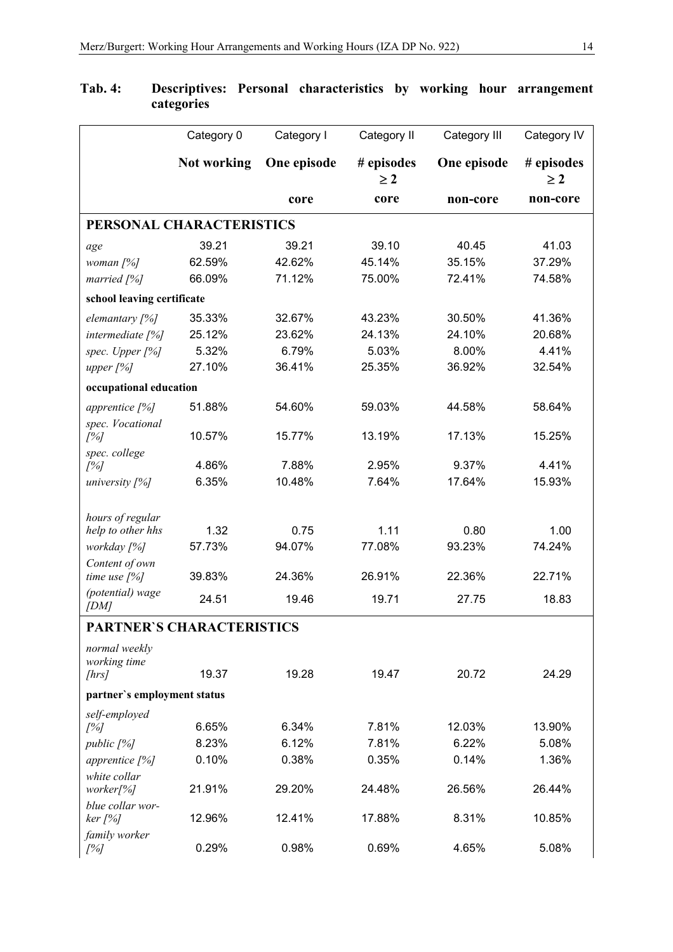|                                       | Category 0                | Category I  | Category II            | Category III | Category IV            |
|---------------------------------------|---------------------------|-------------|------------------------|--------------|------------------------|
|                                       | Not working               | One episode | # episodes<br>$\geq 2$ | One episode  | # episodes<br>$\geq 2$ |
|                                       |                           | core        | core                   | non-core     | non-core               |
|                                       | PERSONAL CHARACTERISTICS  |             |                        |              |                        |
| age                                   | 39.21                     | 39.21       | 39.10                  | 40.45        | 41.03                  |
| woman $[%]$                           | 62.59%                    | 42.62%      | 45.14%                 | 35.15%       | 37.29%                 |
| married [%]                           | 66.09%                    | 71.12%      | 75.00%                 | 72.41%       | 74.58%                 |
| school leaving certificate            |                           |             |                        |              |                        |
| elemantary [%]                        | 35.33%                    | 32.67%      | 43.23%                 | 30.50%       | 41.36%                 |
| intermediate $[%]$                    | 25.12%                    | 23.62%      | 24.13%                 | 24.10%       | 20.68%                 |
| spec. Upper [%]                       | 5.32%                     | 6.79%       | 5.03%                  | 8.00%        | 4.41%                  |
| upper $[%]$                           | 27.10%                    | 36.41%      | 25.35%                 | 36.92%       | 32.54%                 |
| occupational education                |                           |             |                        |              |                        |
| apprentice [%]                        | 51.88%                    | 54.60%      | 59.03%                 | 44.58%       | 58.64%                 |
| spec. Vocational<br>[%]               | 10.57%                    | 15.77%      | 13.19%                 | 17.13%       | 15.25%                 |
| spec. college                         |                           |             |                        |              |                        |
| [%]                                   | 4.86%                     | 7.88%       | 2.95%                  | 9.37%        | 4.41%                  |
| university $[%]$                      | 6.35%                     | 10.48%      | 7.64%                  | 17.64%       | 15.93%                 |
|                                       |                           |             |                        |              |                        |
| hours of regular<br>help to other hhs | 1.32                      | 0.75        | 1.11                   | 0.80         | 1.00                   |
| workday [%]                           | 57.73%                    | 94.07%      | 77.08%                 | 93.23%       | 74.24%                 |
| Content of own                        |                           |             |                        |              |                        |
| time use $[%]$                        | 39.83%                    | 24.36%      | 26.91%                 | 22.36%       | 22.71%                 |
| (potential) wage<br>[DM]              | 24.51                     | 19.46       | 19.71                  | 27.75        | 18.83                  |
|                                       | PARTNER'S CHARACTERISTICS |             |                        |              |                        |
| normal weekly                         |                           |             |                        |              |                        |
| working time                          |                           |             |                        |              |                        |
| [ $hrs$ ]                             | 19.37                     | 19.28       | 19.47                  | 20.72        | 24.29                  |
| partner's employment status           |                           |             |                        |              |                        |
| self-employed                         |                           |             |                        |              |                        |
| [%]                                   | 6.65%                     | 6.34%       | 7.81%                  | 12.03%       | 13.90%                 |
| public $[%]$                          | 8.23%                     | 6.12%       | 7.81%                  | 6.22%        | 5.08%                  |
| apprentice [%]                        | 0.10%                     | 0.38%       | 0.35%                  | 0.14%        | 1.36%                  |
| white collar<br>worker[%]             | 21.91%                    | 29.20%      | 24.48%                 | 26.56%       | 26.44%                 |
| blue collar wor-                      |                           |             |                        |              |                        |
| ker [%]                               | 12.96%                    | 12.41%      | 17.88%                 | 8.31%        | 10.85%                 |
| family worker                         |                           |             |                        |              |                        |
| [%]                                   | 0.29%                     | 0.98%       | 0.69%                  | 4.65%        | 5.08%                  |

# **Tab. 4: Descriptives: Personal characteristics by working hour arrangement categories**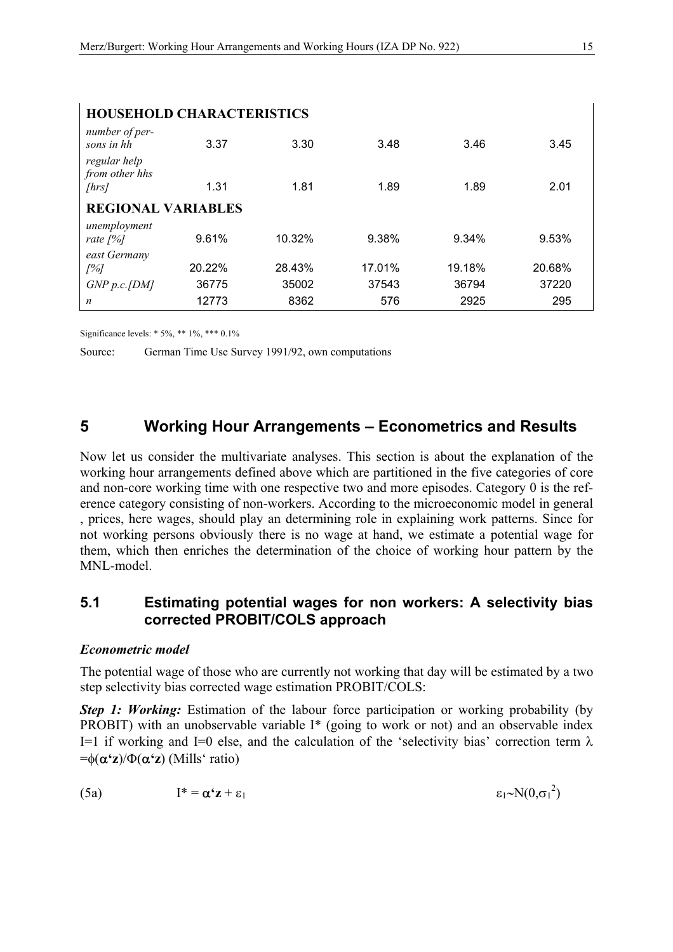| <b>HOUSEHOLD CHARACTERISTICS</b>             |        |        |        |        |        |  |  |
|----------------------------------------------|--------|--------|--------|--------|--------|--|--|
| number of per-<br>sons in hh<br>regular help | 3.37   | 3.30   | 3.48   | 3.46   | 3.45   |  |  |
| from other hhs<br>[hrs]                      | 1.31   | 1.81   | 1.89   | 1.89   | 2.01   |  |  |
| <b>REGIONAL VARIABLES</b>                    |        |        |        |        |        |  |  |
| unemployment<br>rate $[%]$                   | 9.61%  | 10.32% | 9.38%  | 9.34%  | 9.53%  |  |  |
| east Germany<br>[%]                          | 20.22% | 28.43% | 17.01% | 19.18% | 20.68% |  |  |
| $GNP p.c.$ [DM]                              | 36775  | 35002  | 37543  | 36794  | 37220  |  |  |
| $\boldsymbol{n}$                             | 12773  | 8362   | 576    | 2925   | 295    |  |  |

Significance levels: \* 5%, \*\* 1%, \*\*\* 0.1%

Source: German Time Use Survey 1991/92, own computations

# **5 Working Hour Arrangements – Econometrics and Results**

Now let us consider the multivariate analyses. This section is about the explanation of the working hour arrangements defined above which are partitioned in the five categories of core and non-core working time with one respective two and more episodes. Category 0 is the reference category consisting of non-workers. According to the microeconomic model in general , prices, here wages, should play an determining role in explaining work patterns. Since for not working persons obviously there is no wage at hand, we estimate a potential wage for them, which then enriches the determination of the choice of working hour pattern by the MNL-model.

# **5.1 Estimating potential wages for non workers: A selectivity bias corrected PROBIT/COLS approach**

#### *Econometric model*

The potential wage of those who are currently not working that day will be estimated by a two step selectivity bias corrected wage estimation PROBIT/COLS:

**Step 1: Working:** Estimation of the labour force participation or working probability (by PROBIT) with an unobservable variable I<sup>\*</sup> (going to work or not) and an observable index I=1 if working and I=0 else, and the calculation of the 'selectivity bias' correction term  $\lambda$ =φ(α**'z**)/Φ(α**'z**) (Mills' ratio)

(5a) 
$$
I^* = \alpha^* z + \varepsilon_1 \qquad \qquad \varepsilon_1 \sim N(0, \sigma_1^2)
$$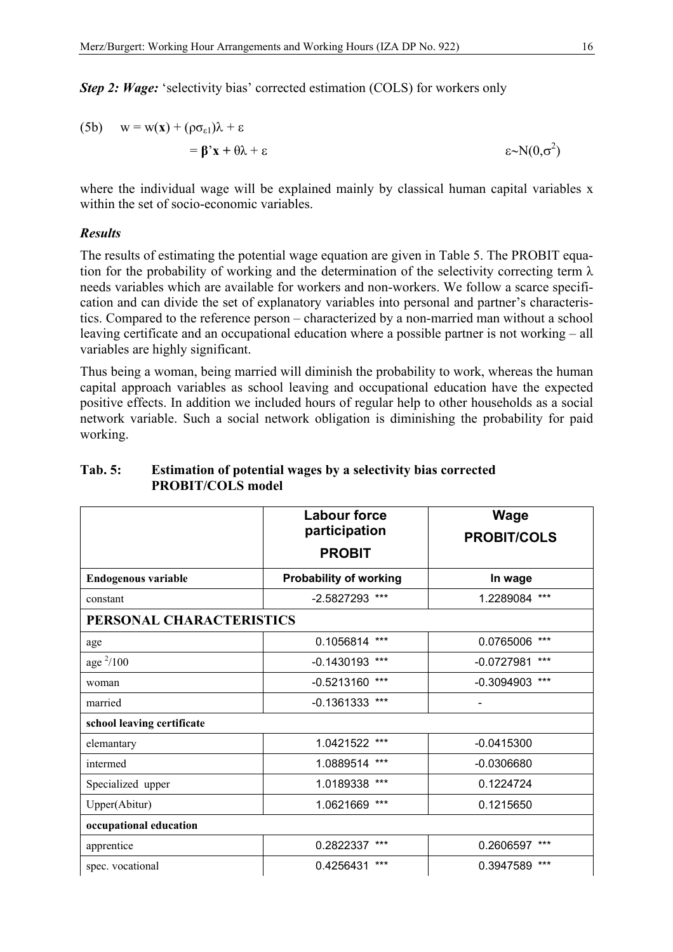*Step 2: Wage:* 'selectivity bias' corrected estimation (COLS) for workers only

(5b) 
$$
w = w(x) + (\rho \sigma_{\epsilon 1})\lambda + \epsilon
$$

$$
= \beta' x + \theta \lambda + \epsilon
$$

$$
\epsilon \sim N(0, \sigma^2)
$$

where the individual wage will be explained mainly by classical human capital variables x within the set of socio-economic variables.

#### *Results*

The results of estimating the potential wage equation are given in Table 5. The PROBIT equation for the probability of working and the determination of the selectivity correcting term  $\lambda$ needs variables which are available for workers and non-workers. We follow a scarce specification and can divide the set of explanatory variables into personal and partner's characteristics. Compared to the reference person – characterized by a non-married man without a school leaving certificate and an occupational education where a possible partner is not working – all variables are highly significant.

Thus being a woman, being married will diminish the probability to work, whereas the human capital approach variables as school leaving and occupational education have the expected positive effects. In addition we included hours of regular help to other households as a social network variable. Such a social network obligation is diminishing the probability for paid working.

|                            | <b>Labour force</b><br>participation | <b>Wage</b>           |
|----------------------------|--------------------------------------|-----------------------|
|                            | <b>PROBIT</b>                        | <b>PROBIT/COLS</b>    |
| <b>Endogenous variable</b> | <b>Probability of working</b>        | In wage               |
| constant                   | $***$<br>$-2.5827293$                | ***<br>1.2289084      |
| PERSONAL CHARACTERISTICS   |                                      |                       |
| age                        | $***$<br>0.1056814                   | ***<br>0.0765006      |
| age $^{2}/100$             | ***<br>$-0.1430193$                  | ***<br>$-0.0727981$   |
| woman                      | $***$<br>$-0.5213160$                | $***$<br>$-0.3094903$ |
| married                    | $***$<br>$-0.1361333$                |                       |
| school leaving certificate |                                      |                       |
| elemantary                 | 1.0421522 ***                        | $-0.0415300$          |
| intermed                   | $***$<br>1.0889514                   | $-0.0306680$          |
| Specialized upper          | 1.0189338 ***                        | 0.1224724             |
| Upper(Abitur)              | $***$<br>1.0621669                   | 0.1215650             |
| occupational education     |                                      |                       |
| apprentice                 | ***<br>0.2822337                     | ***<br>0.2606597      |
| spec. vocational           | ***<br>0.4256431                     | ***<br>0.3947589      |

#### **Tab. 5: Estimation of potential wages by a selectivity bias corrected PROBIT/COLS model**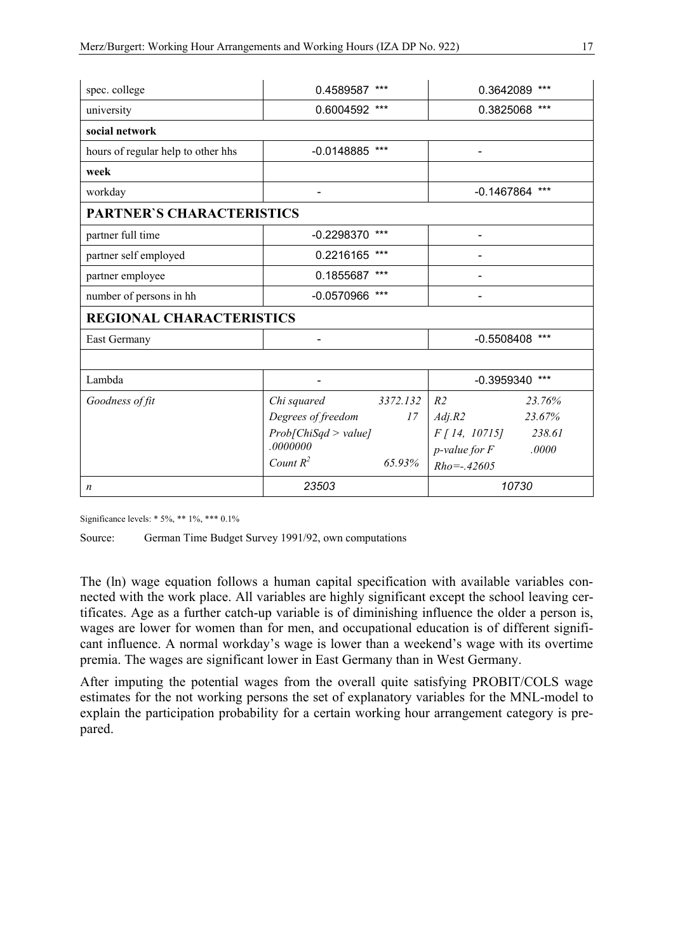| spec. college                      | 0.4589587 ***        |          | 0.3642089 ***         |        |  |  |
|------------------------------------|----------------------|----------|-----------------------|--------|--|--|
| university                         | 0.6004592 ***        |          | 0.3825068             | $***$  |  |  |
| social network                     |                      |          |                       |        |  |  |
| hours of regular help to other hhs | $-0.0148885$ ***     |          |                       |        |  |  |
| week                               |                      |          |                       |        |  |  |
| workday                            | $\blacksquare$       |          | $***$<br>$-0.1467864$ |        |  |  |
| <b>PARTNER'S CHARACTERISTICS</b>   |                      |          |                       |        |  |  |
| partner full time                  | $-0.2298370$         | $***$    |                       |        |  |  |
| partner self employed              | 0.2216165            | ***      |                       |        |  |  |
| partner employee                   | 0.1855687            | ***      |                       |        |  |  |
| number of persons in hh            | -0.0570966 ***       |          |                       |        |  |  |
| <b>REGIONAL CHARACTERISTICS</b>    |                      |          |                       |        |  |  |
| East Germany                       |                      |          | $***$<br>$-0.5508408$ |        |  |  |
|                                    |                      |          |                       |        |  |  |
| Lambda                             |                      |          | $***$<br>$-0.3959340$ |        |  |  |
| Goodness of fit                    | Chi squared          | 3372.132 | R <sub>2</sub>        | 23.76% |  |  |
|                                    | Degrees of freedom   | 17       | Adj.R2                | 23.67% |  |  |
|                                    | Prob[ChiSqd > value] |          | F[14, 10715]          | 238.61 |  |  |
|                                    | .0000000             |          | $p$ -value for $F$    | .0000  |  |  |
|                                    | Count $R^2$          | 65.93%   | $Rho = -0.42605$      |        |  |  |
| 23503<br>$\boldsymbol{n}$          |                      |          | 10730                 |        |  |  |

Significance levels: \* 5%, \*\* 1%, \*\*\* 0.1%

Source: German Time Budget Survey 1991/92, own computations

The (ln) wage equation follows a human capital specification with available variables connected with the work place. All variables are highly significant except the school leaving certificates. Age as a further catch-up variable is of diminishing influence the older a person is, wages are lower for women than for men, and occupational education is of different significant influence. A normal workday's wage is lower than a weekend's wage with its overtime premia. The wages are significant lower in East Germany than in West Germany.

After imputing the potential wages from the overall quite satisfying PROBIT/COLS wage estimates for the not working persons the set of explanatory variables for the MNL-model to explain the participation probability for a certain working hour arrangement category is prepared.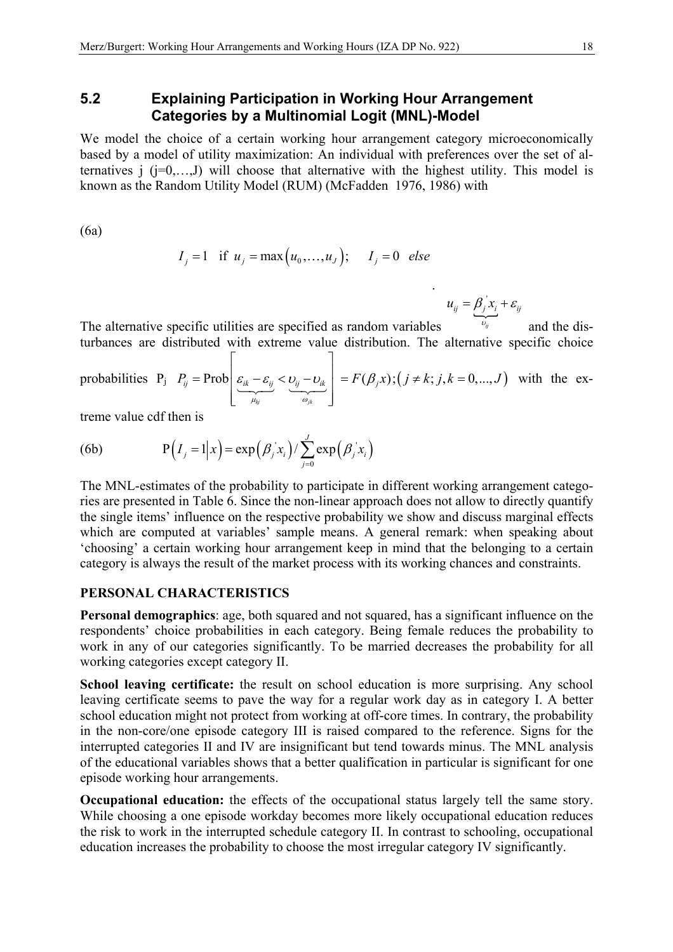### **5.2 Explaining Participation in Working Hour Arrangement Categories by a Multinomial Logit (MNL)-Model**

We model the choice of a certain working hour arrangement category microeconomically based by a model of utility maximization: An individual with preferences over the set of alternatives  $i$  ( $i=0,...,J$ ) will choose that alternative with the highest utility. This model is known as the Random Utility Model (RUM) (McFadden 1976, 1986) with

(6a)

$$
I_j = 1 \quad \text{if } u_j = \max(u_0, \dots, u_j); \quad I_j = 0 \quad \text{else}
$$

 $k$ *j*  $\omega_{jk}$ 

 $\mu_{ki}$   $\omega$ 

 $\underset{\sim}{\beta}$   $\underset{i}{\alpha}$  $u_{ij} = \beta_j x_i + \varepsilon_{ij}$  $=\beta_i^{\dagger} x_i + \varepsilon_i^{\dagger}$ 

.

The alternative specific utilities are specified as random variables *ij* υ and the disturbances are distributed with extreme value distribution. The alternative specific choice probabilities  $P_j$   $P_{ii}$  = Prob $| \varepsilon_{ik} - \varepsilon_{ii} < v_{ii} - v_{ik} |$  =  $F(\beta_i x)$ ;  $(j \neq k; j, k = 0,..., J)$  $P_{ij} = \text{Prob} \left[ \varepsilon_{ik} - \varepsilon_{ij} < \nu_{ij} - \nu_{ik} \right] = F(\beta_j x); (j \neq k; j, k = 0, ..., J)$  $\varepsilon_{ik} - \varepsilon_{ii} < v_{ii} - v_{ik}$  | =  $F(\beta)$  $\mathbf{I}$  and  $\mathbf{I}$  and  $\mathbf{I}$  $=$ Prob $\left| \underbrace{\varepsilon_{ik} - \varepsilon_{ij}} \leq \underbrace{\varepsilon_{ij} - \varepsilon_{ik}} \right|$  =  $F(\beta_j x);$   $(j \neq k; j, k =$  $\begin{bmatrix} \mu_{kj} & \omega_{jk} \end{bmatrix}$  $\varepsilon_{ik} - \varepsilon_{ij} < u_{ij} - u_{ik}$  =  $F(\beta_j x)$ ;  $(j \neq k; j, k = 0,...,J)$  with the ex-

treme value cdf then is

(6b) 
$$
P(I_j = 1 | x) = exp(\beta_j x_i) / \sum_{j=0}^{J} exp(\beta_j x_j)
$$

The MNL-estimates of the probability to participate in different working arrangement categories are presented in Table 6. Since the non-linear approach does not allow to directly quantify the single items' influence on the respective probability we show and discuss marginal effects which are computed at variables' sample means. A general remark: when speaking about 'choosing' a certain working hour arrangement keep in mind that the belonging to a certain category is always the result of the market process with its working chances and constraints.

#### **PERSONAL CHARACTERISTICS**

**Personal demographics**: age, both squared and not squared, has a significant influence on the respondents' choice probabilities in each category. Being female reduces the probability to work in any of our categories significantly. To be married decreases the probability for all working categories except category II.

**School leaving certificate:** the result on school education is more surprising. Any school leaving certificate seems to pave the way for a regular work day as in category I. A better school education might not protect from working at off-core times. In contrary, the probability in the non-core/one episode category III is raised compared to the reference. Signs for the interrupted categories II and IV are insignificant but tend towards minus. The MNL analysis of the educational variables shows that a better qualification in particular is significant for one episode working hour arrangements.

**Occupational education:** the effects of the occupational status largely tell the same story. While choosing a one episode workday becomes more likely occupational education reduces the risk to work in the interrupted schedule category II. In contrast to schooling, occupational education increases the probability to choose the most irregular category IV significantly.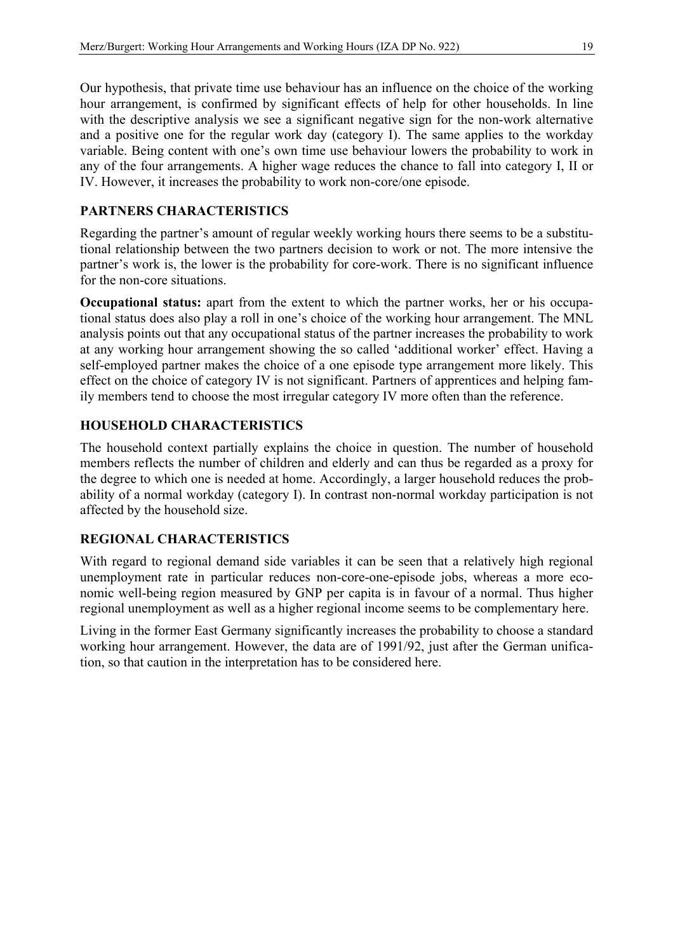Our hypothesis, that private time use behaviour has an influence on the choice of the working hour arrangement, is confirmed by significant effects of help for other households. In line with the descriptive analysis we see a significant negative sign for the non-work alternative and a positive one for the regular work day (category I). The same applies to the workday variable. Being content with one's own time use behaviour lowers the probability to work in any of the four arrangements. A higher wage reduces the chance to fall into category I, II or IV. However, it increases the probability to work non-core/one episode.

### **PARTNERS CHARACTERISTICS**

Regarding the partner's amount of regular weekly working hours there seems to be a substitutional relationship between the two partners decision to work or not. The more intensive the partner's work is, the lower is the probability for core-work. There is no significant influence for the non-core situations.

**Occupational status:** apart from the extent to which the partner works, her or his occupational status does also play a roll in one's choice of the working hour arrangement. The MNL analysis points out that any occupational status of the partner increases the probability to work at any working hour arrangement showing the so called 'additional worker' effect. Having a self-employed partner makes the choice of a one episode type arrangement more likely. This effect on the choice of category IV is not significant. Partners of apprentices and helping family members tend to choose the most irregular category IV more often than the reference.

### **HOUSEHOLD CHARACTERISTICS**

The household context partially explains the choice in question. The number of household members reflects the number of children and elderly and can thus be regarded as a proxy for the degree to which one is needed at home. Accordingly, a larger household reduces the probability of a normal workday (category I). In contrast non-normal workday participation is not affected by the household size.

### **REGIONAL CHARACTERISTICS**

With regard to regional demand side variables it can be seen that a relatively high regional unemployment rate in particular reduces non-core-one-episode jobs, whereas a more economic well-being region measured by GNP per capita is in favour of a normal. Thus higher regional unemployment as well as a higher regional income seems to be complementary here.

Living in the former East Germany significantly increases the probability to choose a standard working hour arrangement. However, the data are of 1991/92, just after the German unification, so that caution in the interpretation has to be considered here.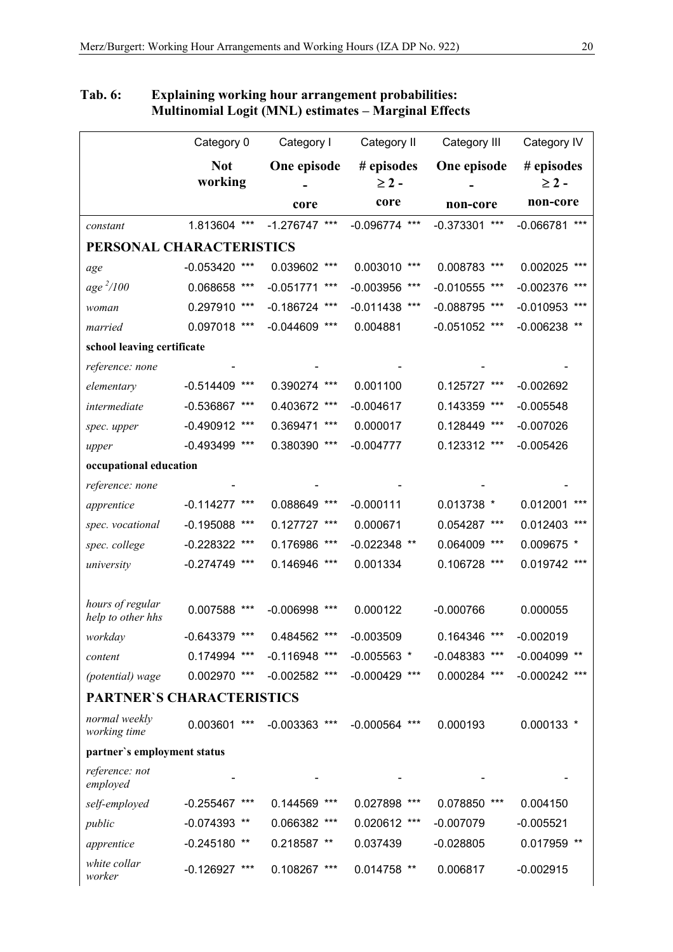|                                       | Category 0            | Category I      | Category II              | Category III         | Category IV              |
|---------------------------------------|-----------------------|-----------------|--------------------------|----------------------|--------------------------|
|                                       | <b>Not</b><br>working | One episode     | # episodes<br>$\geq 2$ - | One episode          | # episodes<br>$\geq 2$ - |
|                                       |                       | core            | core                     | non-core             | non-core                 |
| constant                              | 1.813604 ***          | $-1.276747$ *** | $-0.096774$ ***          | $***$<br>$-0.373301$ | $-0.066781$<br>$***$     |
| PERSONAL CHARACTERISTICS              |                       |                 |                          |                      |                          |
| age                                   | $-0.053420$ ***       | 0.039602 ***    | $0.003010$ ***           | 0.008783 ***         | 0.002025 ***             |
| age $\frac{2}{100}$                   | 0.068658 ***          | $-0.051771$ *** | $-0.003956$ ***          | $-0.010555$ ***      | $-0.002376$<br>$***$     |
| woman                                 | 0.297910 ***          | $-0.186724$ *** | $-0.011438$ ***          | $-0.088795$ ***      | $-0.010953$<br>$***$     |
| married                               | 0.097018 ***          | $-0.044609$ *** | 0.004881                 | $-0.051052$ ***      | $-0.006238$ **           |
| school leaving certificate            |                       |                 |                          |                      |                          |
| reference: none                       |                       |                 |                          |                      |                          |
| elementary                            | $-0.514409$ ***       | 0.390274 ***    | 0.001100                 | $0.125727$ ***       | $-0.002692$              |
| intermediate                          | $-0.536867$ ***       | 0.403672 ***    | $-0.004617$              | 0.143359 ***         | $-0.005548$              |
| spec. upper                           | $-0.490912$ ***       | 0.369471 ***    | 0.000017                 | 0.128449 ***         | $-0.007026$              |
| upper                                 | $-0.493499$ ***       | 0.380390 ***    | $-0.004777$              | 0.123312 ***         | $-0.005426$              |
| occupational education                |                       |                 |                          |                      |                          |
| reference: none                       |                       |                 |                          |                      |                          |
| apprentice                            | $-0.114277$ ***       | 0.088649 ***    | $-0.000111$              | 0.013738 *           | 0.012001<br>$***$        |
| spec. vocational                      | $-0.195088$ ***       | $0.127727$ ***  | 0.000671                 | 0.054287 ***         | 0.012403 ***             |
| spec. college                         | $-0.228322$ ***       | 0.176986 ***    | $-0.022348$ **           | 0.064009 ***         | 0.009675 *               |
| university                            | $-0.274749$ ***       | 0.146946 ***    | 0.001334                 | 0.106728 ***         | 0.019742 ***             |
| hours of regular<br>help to other hhs | 0.007588 ***          | $-0.006998$ *** | 0.000122                 | $-0.000766$          | 0.000055                 |
| workday                               | -0.643379 ***         | 0.484562 ***    | $-0.003509$              | $0.164346$ ***       | $-0.002019$              |
| content                               | 0.174994 ***          | $-0.116948$ *** | $-0.005563$ *            | $-0.048383$ ***      | $-0.004099$ **           |
| (potential) wage                      | 0.002970 ***          | $-0.002582$ *** | $-0.000429$ ***          | 0.000284 ***         | $-0.000242$ ***          |
| <b>PARTNER'S CHARACTERISTICS</b>      |                       |                 |                          |                      |                          |
| normal weekly<br>working time         | $0.003601$ ***        | $-0.003363$ *** | $-0.000564$ ***          | 0.000193             | $0.000133$ *             |
| partner's employment status           |                       |                 |                          |                      |                          |
| reference: not<br>employed            |                       |                 |                          |                      |                          |
| self-employed                         | $-0.255467$ ***       | 0.144569 ***    | 0.027898 ***             | 0.078850 ***         | 0.004150                 |
| public                                | $-0.074393$ **        | 0.066382 ***    | 0.020612 ***             | $-0.007079$          | $-0.005521$              |
| apprentice                            | $-0.245180$ **        | 0.218587 **     | 0.037439                 | $-0.028805$          | 0.017959 **              |
| white collar<br>worker                | $-0.126927$ ***       | 0.108267 ***    | $0.014758$ **            | 0.006817             | $-0.002915$              |

# **Tab. 6: Explaining working hour arrangement probabilities: Multinomial Logit (MNL) estimates – Marginal Effects**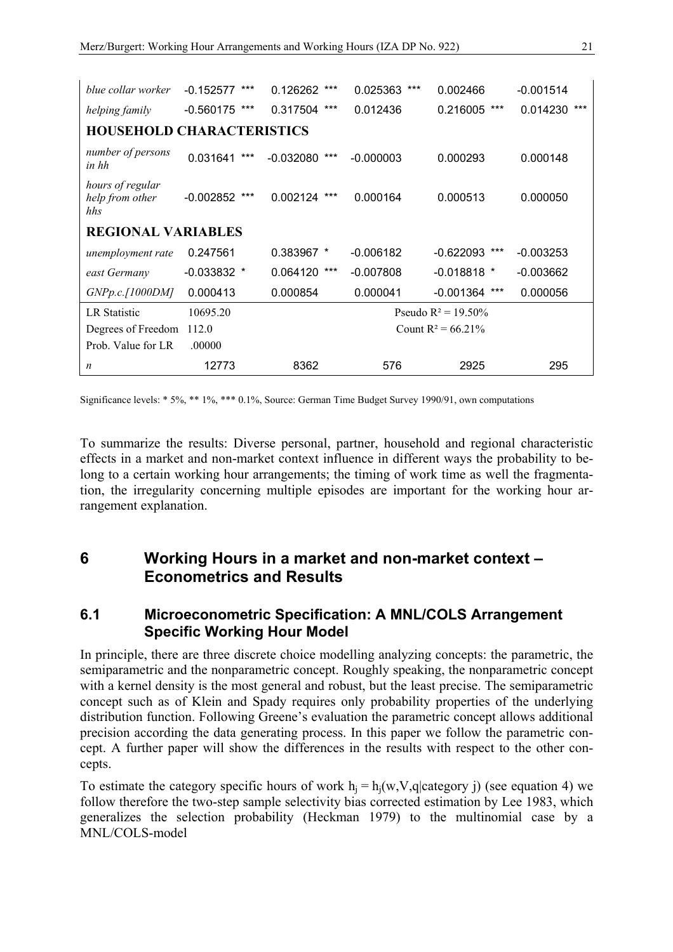| blue collar worker                         | ***<br>$-0.152577$               | ***<br>0.126262    | ***<br>0.025363 | 0.002466               | $-0.001514$       |  |  |  |  |
|--------------------------------------------|----------------------------------|--------------------|-----------------|------------------------|-------------------|--|--|--|--|
| helping family                             | ***<br>$-0.560175$               | ***<br>0.317504    | 0.012436        | ***<br>0.216005        | $***$<br>0.014230 |  |  |  |  |
|                                            | <b>HOUSEHOLD CHARACTERISTICS</b> |                    |                 |                        |                   |  |  |  |  |
| number of persons<br>in hh                 | 0.031641<br>$***$                | ***<br>$-0.032080$ | $-0.000003$     | 0.000293               | 0.000148          |  |  |  |  |
| hours of regular<br>help from other<br>hhs | $-0.002852$<br>***               | 0.002124<br>***    | 0.000164        | 0.000513               | 0.000050          |  |  |  |  |
| <b>REGIONAL VARIABLES</b>                  |                                  |                    |                 |                        |                   |  |  |  |  |
| unemployment rate                          | 0.247561                         | 0.383967 *         | $-0.006182$     | ***<br>-0.622093       | $-0.003253$       |  |  |  |  |
| east Germany                               | $-0.033832$ *                    | $***$<br>0.064120  | $-0.007808$     | $-0.018818$ *          | $-0.003662$       |  |  |  |  |
| GNPp.c.[1000DM]                            | 0.000413                         | 0.000854           | 0.000041        | $***$<br>-0.001364     | 0.000056          |  |  |  |  |
| <b>LR</b> Statistic                        | 10695.20                         |                    |                 | Pseudo $R^2 = 19.50\%$ |                   |  |  |  |  |
| Degrees of Freedom                         | 112.0                            |                    |                 | Count $R^2 = 66.21\%$  |                   |  |  |  |  |
| Prob. Value for LR                         | .00000                           |                    |                 |                        |                   |  |  |  |  |
| n                                          | 12773                            | 8362               | 576             | 2925                   | 295               |  |  |  |  |

Significance levels: \* 5%, \*\* 1%, \*\*\* 0.1%, Source: German Time Budget Survey 1990/91, own computations

To summarize the results: Diverse personal, partner, household and regional characteristic effects in a market and non-market context influence in different ways the probability to belong to a certain working hour arrangements; the timing of work time as well the fragmentation, the irregularity concerning multiple episodes are important for the working hour arrangement explanation.

# **6 Working Hours in a market and non-market context – Econometrics and Results**

# **6.1 Microeconometric Specification: A MNL/COLS Arrangement Specific Working Hour Model**

In principle, there are three discrete choice modelling analyzing concepts: the parametric, the semiparametric and the nonparametric concept. Roughly speaking, the nonparametric concept with a kernel density is the most general and robust, but the least precise. The semiparametric concept such as of Klein and Spady requires only probability properties of the underlying distribution function. Following Greene's evaluation the parametric concept allows additional precision according the data generating process. In this paper we follow the parametric concept. A further paper will show the differences in the results with respect to the other concepts.

To estimate the category specific hours of work  $h_i = h_i(w, V, q|$ category j) (see equation 4) we follow therefore the two-step sample selectivity bias corrected estimation by Lee 1983, which generalizes the selection probability (Heckman 1979) to the multinomial case by a MNL/COLS-model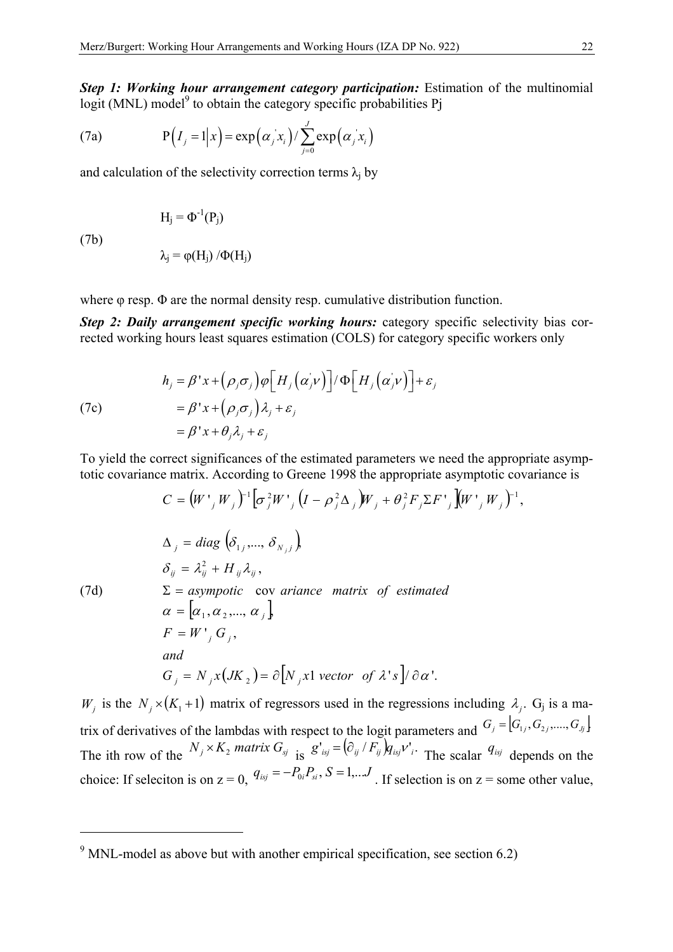*Step 1: Working hour arrangement category participation: Estimation of the multinomial* logit (MNL) model<sup>9</sup> to obtain the category specific probabilities  $Pj$ 

(7a) 
$$
P(I_j = 1 | x) = \exp(\alpha_j x_i) / \sum_{j=0}^{J} \exp(\alpha_j x_i)
$$

and calculation of the selectivity correction terms  $\lambda_i$  by

$$
H_j = \Phi^{-1}(P_j)
$$

(7b)

1

$$
\lambda_j = \phi(H_j) / \Phi(H_j)
$$

where  $\varphi$  resp.  $\Phi$  are the normal density resp. cumulative distribution function.

*Step 2: Daily arrangement specific working hours:* category specific selectivity bias corrected working hours least squares estimation (COLS) for category specific workers only

(7c)  
\n
$$
h_j = \beta' x + (\rho_j \sigma_j) \varphi \Big[ H_j(\alpha'_j v) \Big] / \Phi \Big[ H_j(\alpha'_j v) \Big] + \varepsilon_j
$$
\n
$$
= \beta' x + (\rho_j \sigma_j) \lambda_j + \varepsilon_j
$$
\n
$$
= \beta' x + \theta_j \lambda_j + \varepsilon_j
$$

To yield the correct significances of the estimated parameters we need the appropriate asymptotic covariance matrix. According to Greene 1998 the appropriate asymptotic covariance is

$$
C = (W', W_j)^{-1} [\sigma_j^2 W', (I - \rho_j^2 \Delta_j) W_j + \theta_j^2 F_j \Sigma F', [W', W_j)^{-1},
$$
  
\n
$$
\Delta_j = diag(\delta_{1j}, ..., \delta_{N_jj})
$$
  
\n
$$
\delta_{ij} = \lambda_{ij}^2 + H_{ij} \lambda_{ij},
$$
  
\n(7d) 
$$
\Sigma = asymptotic \text{ covariance matrix of estimated}
$$
  
\n
$$
\alpha = [\alpha_1, \alpha_2, ..., \alpha_j]
$$
  
\n
$$
F = W', G_j,
$$
  
\nand  
\n
$$
G_j = N_j x (JK_j) = \partial [N_j x] \text{ vector of } \lambda' s] / \partial \alpha'.
$$

*W<sub>i</sub>* is the  $N_i \times (K_1 + 1)$  matrix of regressors used in the regressions including  $\lambda_i$ . G<sub>i</sub> is a matrix of derivatives of the lambdas with respect to the logit parameters and  $G_j = [G_{1j}, G_{2j},..., G_{jj}]$ The ith row of the  $N_j \times K_2$  *matrix*  $G_{sj}$  is  $g'_{isj} = (\partial_{ij}/F_{ij}) \dot{q}_{isj}v'$ . The scalar  $q_{isj}$  depends on the choice: If seleciton is on  $z = 0$ ,  $q_{ij} = -P_{0i}P_{si}$ ,  $S = 1,...J$ , If selection is on  $z =$  some other value,

 $9$  MNL-model as above but with another empirical specification, see section 6.2)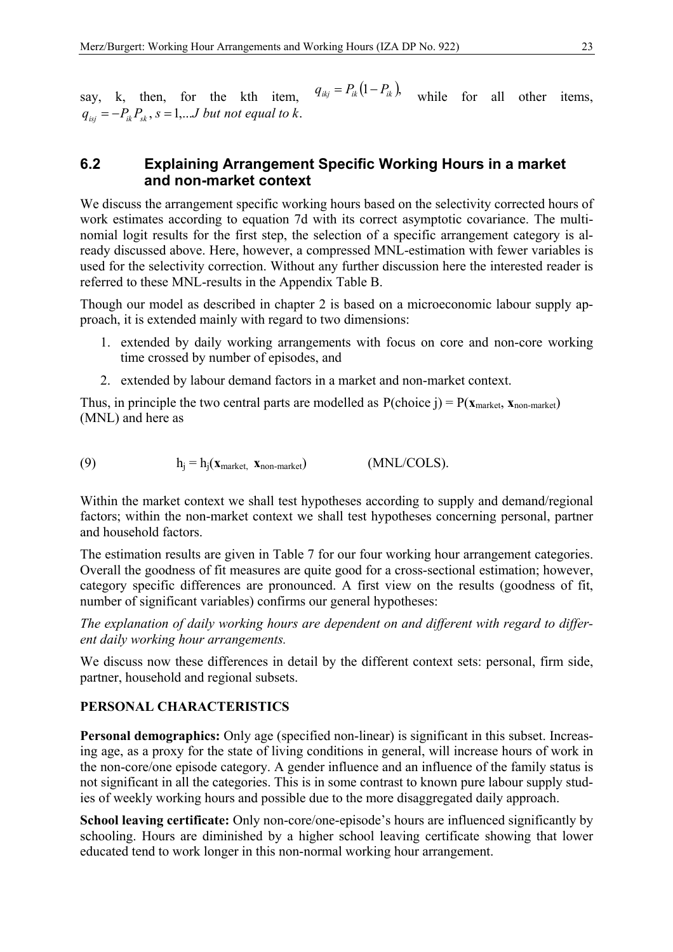say, k, then, for the kth item,  $q_{ikj} = P_{ik} (1 - P_{ik})$ , while for all other items,  $q_{i s i} = -P_{i k} P_{s k}$ ,  $s = 1,...J$  *but not equal to k.* 

# **6.2 Explaining Arrangement Specific Working Hours in a market and non-market context**

We discuss the arrangement specific working hours based on the selectivity corrected hours of work estimates according to equation 7d with its correct asymptotic covariance. The multinomial logit results for the first step, the selection of a specific arrangement category is already discussed above. Here, however, a compressed MNL-estimation with fewer variables is used for the selectivity correction. Without any further discussion here the interested reader is referred to these MNL-results in the Appendix Table B.

Though our model as described in chapter 2 is based on a microeconomic labour supply approach, it is extended mainly with regard to two dimensions:

- 1. extended by daily working arrangements with focus on core and non-core working time crossed by number of episodes, and
- 2. extended by labour demand factors in a market and non-market context.

Thus, in principle the two central parts are modelled as  $P(choice j) = P(\mathbf{x}_{market}, \mathbf{x}_{non-market})$ (MNL) and here as

(9)  $h_i = h_i(\mathbf{x}_{market}, \mathbf{x}_{non-market})$  (MNL/COLS).

Within the market context we shall test hypotheses according to supply and demand/regional factors; within the non-market context we shall test hypotheses concerning personal, partner and household factors.

The estimation results are given in Table 7 for our four working hour arrangement categories. Overall the goodness of fit measures are quite good for a cross-sectional estimation; however, category specific differences are pronounced. A first view on the results (goodness of fit, number of significant variables) confirms our general hypotheses:

*The explanation of daily working hours are dependent on and different with regard to different daily working hour arrangements.* 

We discuss now these differences in detail by the different context sets: personal, firm side, partner, household and regional subsets.

#### **PERSONAL CHARACTERISTICS**

**Personal demographics:** Only age (specified non-linear) is significant in this subset. Increasing age, as a proxy for the state of living conditions in general, will increase hours of work in the non-core/one episode category. A gender influence and an influence of the family status is not significant in all the categories. This is in some contrast to known pure labour supply studies of weekly working hours and possible due to the more disaggregated daily approach.

**School leaving certificate:** Only non-core/one-episode's hours are influenced significantly by schooling. Hours are diminished by a higher school leaving certificate showing that lower educated tend to work longer in this non-normal working hour arrangement.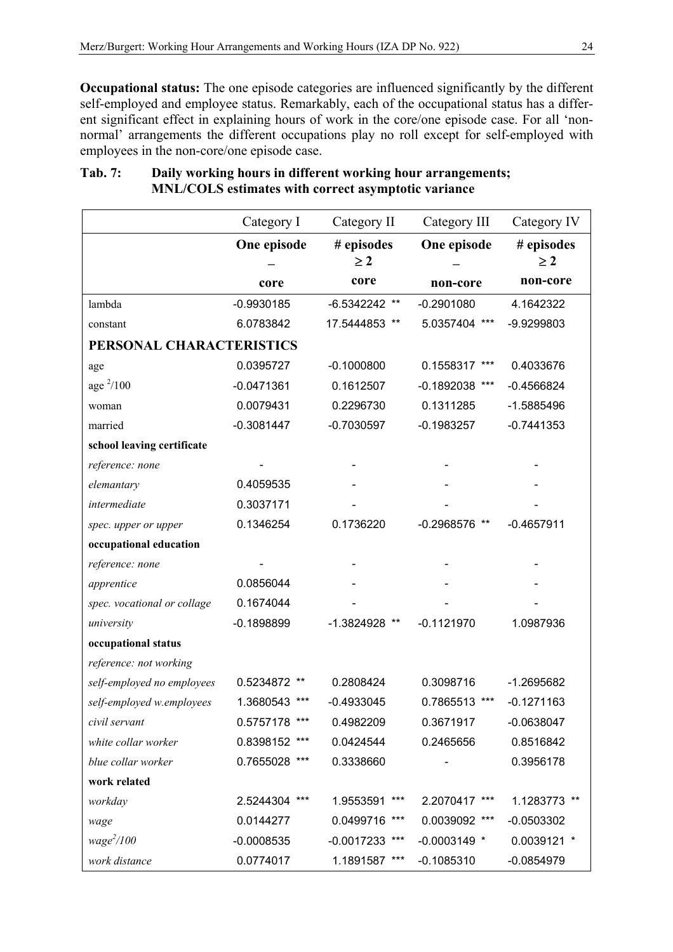**Occupational status:** The one episode categories are influenced significantly by the different self-employed and employee status. Remarkably, each of the occupational status has a different significant effect in explaining hours of work in the core/one episode case. For all 'nonnormal' arrangements the different occupations play no roll except for self-employed with employees in the non-core/one episode case.

|                             | Category I         | Category II      | Category III                    | Category IV  |
|-----------------------------|--------------------|------------------|---------------------------------|--------------|
|                             | One episode        | # episodes       | One episode                     | # episodes   |
|                             |                    | $\geq 2$         |                                 | $\geq 2$     |
|                             | core               | core             | non-core                        | non-core     |
| lambda                      | $-0.9930185$       | $-6.5342242$ **  | $-0.2901080$                    | 4.1642322    |
| constant                    | 6.0783842          | 17.5444853 **    | 5.0357404 ***                   | -9.9299803   |
| PERSONAL CHARACTERISTICS    |                    |                  |                                 |              |
| age                         | 0.0395727          | $-0.1000800$     | 0.1558317                       | 0.4033676    |
| age $^{2}/100$              | $-0.0471361$       | 0.1612507        | $-0.1892038$<br>$***$           | $-0.4566824$ |
| woman                       | 0.0079431          | 0.2296730        | 0.1311285                       | $-1.5885496$ |
| married                     | $-0.3081447$       | $-0.7030597$     | $-0.1983257$                    | $-0.7441353$ |
| school leaving certificate  |                    |                  |                                 |              |
| reference: none             |                    |                  |                                 |              |
| elemantary                  | 0.4059535          |                  |                                 |              |
| intermediate                | 0.3037171          |                  |                                 |              |
| spec. upper or upper        | 0.1346254          | 0.1736220        | $-0.2968576$<br>$^{\star\star}$ | $-0.4657911$ |
| occupational education      |                    |                  |                                 |              |
| reference: none             |                    |                  |                                 |              |
| apprentice                  | 0.0856044          |                  |                                 |              |
| spec. vocational or collage | 0.1674044          |                  |                                 |              |
| university                  | $-0.1898899$       | -1.3824928 **    | $-0.1121970$                    | 1.0987936    |
| occupational status         |                    |                  |                                 |              |
| reference: not working      |                    |                  |                                 |              |
| self-employed no employees  | 0.5234872 **       | 0.2808424        | 0.3098716                       | $-1.2695682$ |
| self-employed w.employees   | 1.3680543          | $-0.4933045$     | 0.7865513<br>***                | $-0.1271163$ |
| civil servant               | 0.5757178<br>$***$ | 0.4982209        | 0.3671917                       | $-0.0638047$ |
| white collar worker         | 0.8398152 ***      | 0.0424544        | 0.2465656                       | 0.8516842    |
| blue collar worker          | 0.7655028 ***      | 0.3338660        |                                 | 0.3956178    |
| work related                |                    |                  |                                 |              |
| workday                     | 2.5244304 ***      | 1.9553591 ***    | 2.2070417 ***                   | 1.1283773 ** |
| wage                        | 0.0144277          | 0.0499716 ***    | 0.0039092 ***                   | $-0.0503302$ |
| $wage^2/100$                | $-0.0008535$       | $-0.0017233$ *** | $-0.0003149$ *                  | 0.0039121 *  |
| work distance               | 0.0774017          | 1.1891587 ***    | $-0.1085310$                    | $-0.0854979$ |

### **Tab. 7: Daily working hours in different working hour arrangements; MNL/COLS estimates with correct asymptotic variance**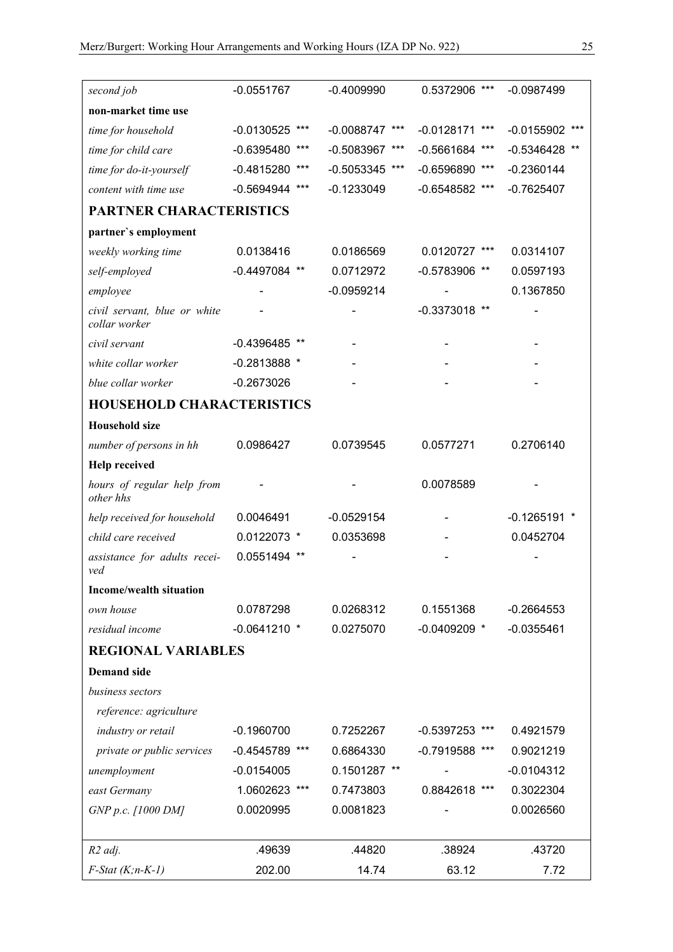| second job                                    | $-0.0551767$        | $-0.4009990$     | 0.5372906 ***         | $-0.0987499$   |
|-----------------------------------------------|---------------------|------------------|-----------------------|----------------|
| non-market time use                           |                     |                  |                       |                |
| time for household                            | $-0.0130525$ ***    | $-0.0088747$ *** | $***$<br>$-0.0128171$ | $-0.0155902$   |
| time for child care                           | $-0.6395480$        | $-0.5083967$ *** | $-0.5661684$<br>***   | $-0.5346428$   |
| time for do-it-yourself                       | $-0.4815280$ ***    | $-0.5053345$ *** | $-0.6596890$<br>***   | $-0.2360144$   |
| content with time use                         | $-0.5694944$<br>*** | $-0.1233049$     | $-0.6548582$<br>***   | $-0.7625407$   |
| <b>PARTNER CHARACTERISTICS</b>                |                     |                  |                       |                |
| partner's employment                          |                     |                  |                       |                |
| weekly working time                           | 0.0138416           | 0.0186569        | 0.0120727<br>$***$    | 0.0314107      |
| self-employed                                 | $-0.4497084$ **     | 0.0712972        | $-0.5783906$ **       | 0.0597193      |
| employee                                      |                     | $-0.0959214$     |                       | 0.1367850      |
| civil servant, blue or white<br>collar worker |                     |                  | $-0.3373018$ **       |                |
| civil servant                                 | $-0.4396485$ **     |                  |                       |                |
| white collar worker                           | $-0.2813888*$       |                  |                       |                |
| blue collar worker                            | $-0.2673026$        |                  |                       |                |
| <b>HOUSEHOLD CHARACTERISTICS</b>              |                     |                  |                       |                |
| <b>Household size</b>                         |                     |                  |                       |                |
| number of persons in hh                       | 0.0986427           | 0.0739545        | 0.0577271             | 0.2706140      |
| <b>Help received</b>                          |                     |                  |                       |                |
| hours of regular help from<br>other hhs       |                     |                  | 0.0078589             |                |
| help received for household                   | 0.0046491           | $-0.0529154$     |                       | $-0.1265191$ * |
| child care received                           | 0.0122073 *         | 0.0353698        |                       | 0.0452704      |
| assistance for adults recei-<br>ved           | 0.0551494 **        |                  |                       |                |
| <b>Income/wealth situation</b>                |                     |                  |                       |                |
| own house                                     | 0.0787298           | 0.0268312        | 0.1551368             | $-0.2664553$   |
| residual income                               | $-0.0641210$ *      | 0.0275070        | $-0.0409209$ *        | $-0.0355461$   |
| <b>REGIONAL VARIABLES</b>                     |                     |                  |                       |                |
| <b>Demand</b> side                            |                     |                  |                       |                |
| business sectors                              |                     |                  |                       |                |
| reference: agriculture                        |                     |                  |                       |                |
| industry or retail                            | $-0.1960700$        | 0.7252267        | $-0.5397253$<br>$***$ | 0.4921579      |
| private or public services                    | -0.4545789 ***      | 0.6864330        | $-0.7919588$ ***      | 0.9021219      |
| unemployment                                  | $-0.0154005$        | 0.1501287 **     |                       | $-0.0104312$   |
| east Germany                                  | 1.0602623 ***       | 0.7473803        | 0.8842618 ***         | 0.3022304      |
| GNP p.c. [1000 DM]                            | 0.0020995           | 0.0081823        |                       | 0.0026560      |
|                                               |                     |                  |                       |                |
| R <sub>2</sub> adj.                           | .49639              | .44820           | .38924                | .43720         |
| $F$ -Stat (K;n-K-1)                           | 202.00              | 14.74            | 63.12                 | 7.72           |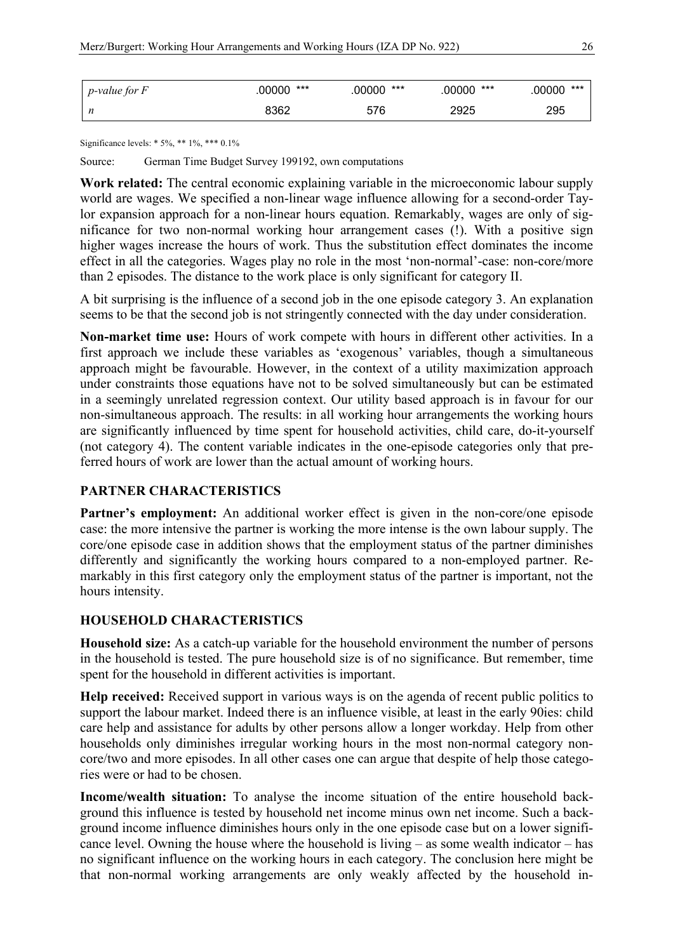| $\mid$ p-value for F | .00000 *** | $.00000$ *** | ***<br>.00000 | .00000 *** |
|----------------------|------------|--------------|---------------|------------|
| $\lfloor n \rfloor$  | 8362       | 576          | 2925          | 295        |

Significance levels: \* 5%, \*\* 1%, \*\*\* 0.1%

Source: German Time Budget Survey 199192, own computations

**Work related:** The central economic explaining variable in the microeconomic labour supply world are wages. We specified a non-linear wage influence allowing for a second-order Taylor expansion approach for a non-linear hours equation. Remarkably, wages are only of significance for two non-normal working hour arrangement cases (!). With a positive sign higher wages increase the hours of work. Thus the substitution effect dominates the income effect in all the categories. Wages play no role in the most 'non-normal'-case: non-core/more than 2 episodes. The distance to the work place is only significant for category II.

A bit surprising is the influence of a second job in the one episode category 3. An explanation seems to be that the second job is not stringently connected with the day under consideration.

**Non-market time use:** Hours of work compete with hours in different other activities. In a first approach we include these variables as 'exogenous' variables, though a simultaneous approach might be favourable. However, in the context of a utility maximization approach under constraints those equations have not to be solved simultaneously but can be estimated in a seemingly unrelated regression context. Our utility based approach is in favour for our non-simultaneous approach. The results: in all working hour arrangements the working hours are significantly influenced by time spent for household activities, child care, do-it-yourself (not category 4). The content variable indicates in the one-episode categories only that preferred hours of work are lower than the actual amount of working hours.

#### **PARTNER CHARACTERISTICS**

**Partner's employment:** An additional worker effect is given in the non-core/one episode case: the more intensive the partner is working the more intense is the own labour supply. The core/one episode case in addition shows that the employment status of the partner diminishes differently and significantly the working hours compared to a non-employed partner. Remarkably in this first category only the employment status of the partner is important, not the hours intensity.

#### **HOUSEHOLD CHARACTERISTICS**

**Household size:** As a catch-up variable for the household environment the number of persons in the household is tested. The pure household size is of no significance. But remember, time spent for the household in different activities is important.

**Help received:** Received support in various ways is on the agenda of recent public politics to support the labour market. Indeed there is an influence visible, at least in the early 90ies: child care help and assistance for adults by other persons allow a longer workday. Help from other households only diminishes irregular working hours in the most non-normal category noncore/two and more episodes. In all other cases one can argue that despite of help those categories were or had to be chosen.

**Income/wealth situation:** To analyse the income situation of the entire household background this influence is tested by household net income minus own net income. Such a background income influence diminishes hours only in the one episode case but on a lower significance level. Owning the house where the household is living – as some wealth indicator – has no significant influence on the working hours in each category. The conclusion here might be that non-normal working arrangements are only weakly affected by the household in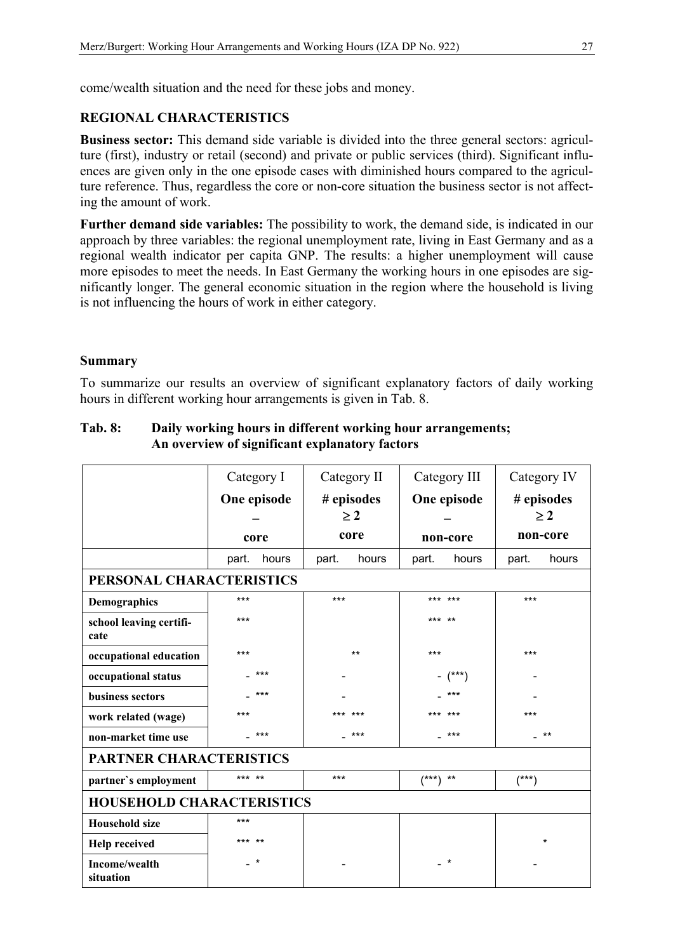come/wealth situation and the need for these jobs and money.

#### **REGIONAL CHARACTERISTICS**

**Business sector:** This demand side variable is divided into the three general sectors: agriculture (first), industry or retail (second) and private or public services (third). Significant influences are given only in the one episode cases with diminished hours compared to the agriculture reference. Thus, regardless the core or non-core situation the business sector is not affecting the amount of work.

**Further demand side variables:** The possibility to work, the demand side, is indicated in our approach by three variables: the regional unemployment rate, living in East Germany and as a regional wealth indicator per capita GNP. The results: a higher unemployment will cause more episodes to meet the needs. In East Germany the working hours in one episodes are significantly longer. The general economic situation in the region where the household is living is not influencing the hours of work in either category.

#### **Summary**

To summarize our results an overview of significant explanatory factors of daily working hours in different working hour arrangements is given in Tab. 8.

|                                  | Category I     | Category II            | Category III   | Category IV            |  |
|----------------------------------|----------------|------------------------|----------------|------------------------|--|
|                                  | One episode    | # episodes<br>$\geq$ 2 | One episode    | # episodes<br>$\geq$ 2 |  |
|                                  | core           | core                   | non-core       | non-core               |  |
|                                  | part.<br>hours | hours<br>part.         | hours<br>part. | hours<br>part.         |  |
| PERSONAL CHARACTERISTICS         |                |                        |                |                        |  |
| Demographics                     | $***$          | ***                    | *** ***        | $***$                  |  |
| school leaving certifi-<br>cate  | $***$          |                        | *** **         |                        |  |
| occupational education           | $***$          | $***$                  | ***            | ***                    |  |
| occupational status              | $***$          |                        | $ (***)$       |                        |  |
| business sectors                 | ***            |                        | ***            |                        |  |
| work related (wage)              | ***            | *** ***                | *** ***        | ***                    |  |
| non-market time use              | $***$          | ***                    | ***            | $***$                  |  |
| <b>PARTNER CHARACTERISTICS</b>   |                |                        |                |                        |  |
| partner's employment             | *** **         | ***                    | $(***)$ **     | $(***)$                |  |
| <b>HOUSEHOLD CHARACTERISTICS</b> |                |                        |                |                        |  |
| <b>Household size</b>            | $***$          |                        |                |                        |  |
| <b>Help received</b>             | *** **         |                        |                | $\star$                |  |
| Income/wealth<br>situation       | $\star$        |                        | $\star$        |                        |  |

#### **Tab. 8: Daily working hours in different working hour arrangements; An overview of significant explanatory factors**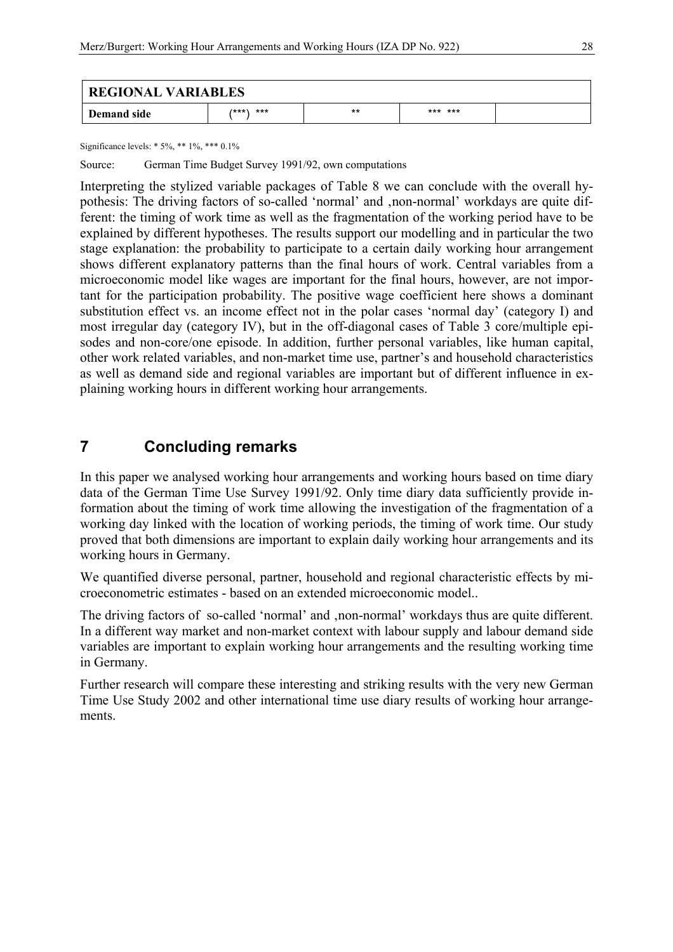| <b>REGIONAL VARIABLES</b> |           |       |         |  |  |
|---------------------------|-----------|-------|---------|--|--|
| Demand side               | ****\ *** | $***$ | *** *** |  |  |

Significance levels: \* 5%, \*\* 1%, \*\*\* 0.1%

Source: German Time Budget Survey 1991/92, own computations

Interpreting the stylized variable packages of Table 8 we can conclude with the overall hypothesis: The driving factors of so-called 'normal' and , non-normal' workdays are quite different: the timing of work time as well as the fragmentation of the working period have to be explained by different hypotheses. The results support our modelling and in particular the two stage explanation: the probability to participate to a certain daily working hour arrangement shows different explanatory patterns than the final hours of work. Central variables from a microeconomic model like wages are important for the final hours, however, are not important for the participation probability. The positive wage coefficient here shows a dominant substitution effect vs. an income effect not in the polar cases 'normal day' (category I) and most irregular day (category IV), but in the off-diagonal cases of Table 3 core/multiple episodes and non-core/one episode. In addition, further personal variables, like human capital, other work related variables, and non-market time use, partner's and household characteristics as well as demand side and regional variables are important but of different influence in explaining working hours in different working hour arrangements.

# **7 Concluding remarks**

In this paper we analysed working hour arrangements and working hours based on time diary data of the German Time Use Survey 1991/92. Only time diary data sufficiently provide information about the timing of work time allowing the investigation of the fragmentation of a working day linked with the location of working periods, the timing of work time. Our study proved that both dimensions are important to explain daily working hour arrangements and its working hours in Germany.

We quantified diverse personal, partner, household and regional characteristic effects by microeconometric estimates - based on an extended microeconomic model..

The driving factors of so-called 'normal' and ,non-normal' workdays thus are quite different. In a different way market and non-market context with labour supply and labour demand side variables are important to explain working hour arrangements and the resulting working time in Germany.

Further research will compare these interesting and striking results with the very new German Time Use Study 2002 and other international time use diary results of working hour arrangements.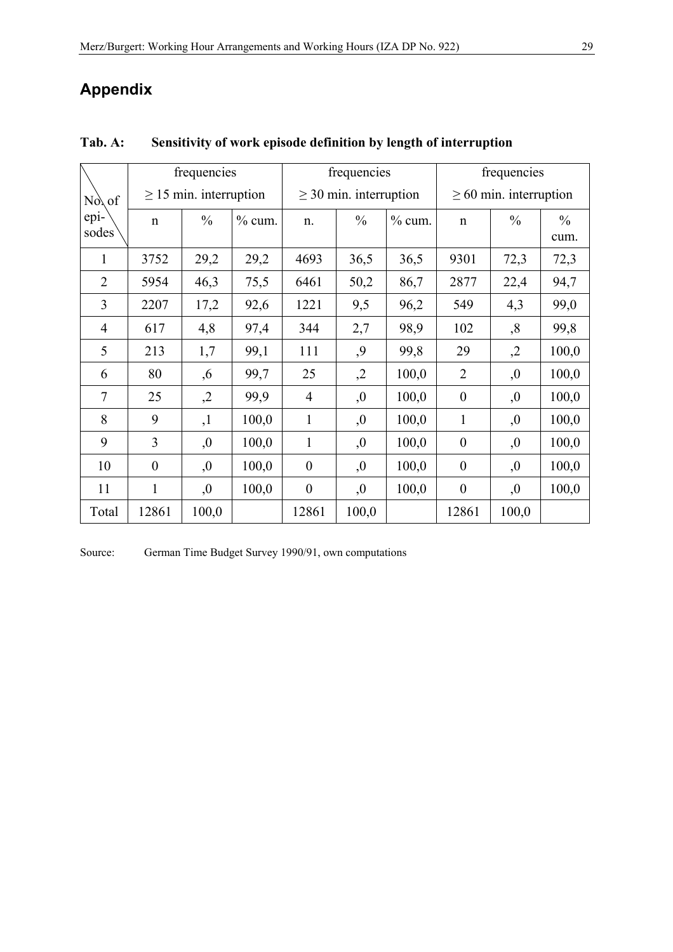# **Appendix**

|                |                | frequencies                 |          | frequencies                 |               | frequencies |                             |               |                       |
|----------------|----------------|-----------------------------|----------|-----------------------------|---------------|-------------|-----------------------------|---------------|-----------------------|
| No\of          |                | $\geq$ 15 min. interruption |          | $\geq$ 30 min. interruption |               |             | $\geq 60$ min. interruption |               |                       |
| epi-<br>sodes  | $\mathbf n$    | $\frac{0}{0}$               | $%$ cum. | $n_{\cdot}$                 | $\frac{0}{0}$ | $%$ cum.    | $\mathbf n$                 | $\frac{0}{0}$ | $\frac{0}{0}$<br>cum. |
| $\mathbf{1}$   | 3752           | 29,2                        | 29,2     | 4693                        | 36,5          | 36,5        | 9301                        | 72,3          | 72,3                  |
| $\overline{2}$ | 5954           | 46,3                        | 75,5     | 6461                        | 50,2          | 86,7        | 2877                        | 22,4          | 94,7                  |
| 3              | 2207           | 17,2                        | 92,6     | 1221                        | 9,5           | 96,2        | 549                         | 4,3           | 99,0                  |
| $\overline{4}$ | 617            | 4,8                         | 97,4     | 344                         | 2,7           | 98,9        | 102                         | ,8            | 99,8                  |
| 5              | 213            | 1,7                         | 99,1     | 111                         | ,9            | 99,8        | 29                          | $\mathcal{L}$ | 100,0                 |
| 6              | 80             | ,6                          | 99,7     | 25                          | ,2            | 100,0       | $\overline{2}$              | ,0            | 100,0                 |
| $\tau$         | 25             | ,2                          | 99,9     | 4                           | ,0            | 100,0       | $\boldsymbol{0}$            | ,0            | 100,0                 |
| 8              | 9              | ,1                          | 100,0    | $\mathbf{1}$                | ,0            | 100,0       | 1                           | ,0            | 100,0                 |
| 9              | 3              | ,0                          | 100,0    | 1                           | ,0            | 100,0       | $\boldsymbol{0}$            | ,0            | 100,0                 |
| 10             | $\overline{0}$ | ,0                          | 100,0    | $\boldsymbol{0}$            | ,0            | 100,0       | $\boldsymbol{0}$            | ,0            | 100,0                 |
| 11             | 1              | ,0                          | 100,0    | $\boldsymbol{0}$            | ,0            | 100,0       | $\boldsymbol{0}$            | ,0            | 100,0                 |
| Total          | 12861          | 100,0                       |          | 12861                       | 100,0         |             | 12861                       | 100,0         |                       |

### **Tab. A: Sensitivity of work episode definition by length of interruption**

Source: German Time Budget Survey 1990/91, own computations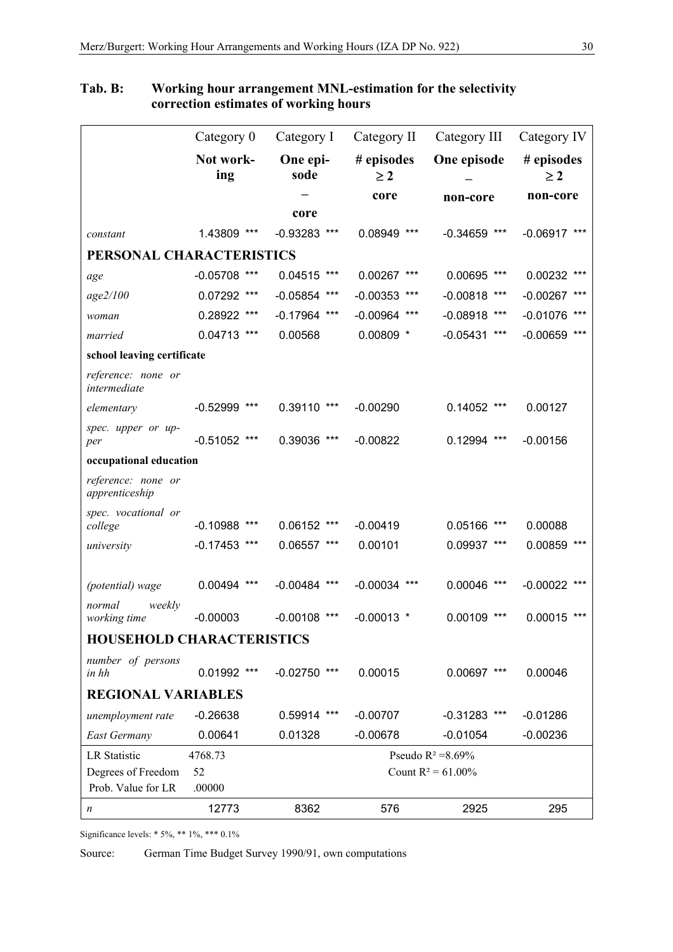|                                      | Category 0          | Category I            | Category II            | Category III          | Category IV            |  |  |
|--------------------------------------|---------------------|-----------------------|------------------------|-----------------------|------------------------|--|--|
|                                      | Not work-<br>ing    | One epi-<br>sode      | # episodes<br>$\geq 2$ | One episode           | # episodes<br>$\geq 2$ |  |  |
|                                      |                     |                       | core                   | non-core              | non-core               |  |  |
|                                      |                     | core                  |                        |                       |                        |  |  |
| constant                             | 1.43809 ***         | $-0.93283$ ***        | 0.08949 ***            | $-0.34659$<br>***     | $-0.06917$ ***         |  |  |
| PERSONAL CHARACTERISTICS             |                     |                       |                        |                       |                        |  |  |
| age                                  | $-0.05708$<br>$***$ | $0.04515$ ***         | 0.00267 ***            | 0.00695 ***           | 0.00232<br>$***$       |  |  |
| age2/100                             | 0.07292<br>$***$    | $-0.05854$<br>$***$   | $-0.00353$<br>***      | $-0.00818$<br>***     | $-0.00267$<br>***      |  |  |
| woman                                | 0.28922<br>$***$    | $-0.17964$<br>$***$   | $-0.00964$<br>$***$    | $-0.08918$<br>***     | $-0.01076$<br>$***$    |  |  |
| married                              | $0.04713$ ***       | 0.00568               | $0.00809$ *            | $-0.05431$<br>$***$   | $-0.00659$ ***         |  |  |
| school leaving certificate           |                     |                       |                        |                       |                        |  |  |
| reference: none or<br>intermediate   |                     |                       |                        |                       |                        |  |  |
| elementary                           | $-0.52999$ ***      | 0.39110 ***           | $-0.00290$             | $0.14052$ ***         | 0.00127                |  |  |
| spec. upper or up-<br>per            | $-0.51052$ ***      | 0.39036 ***           | $-0.00822$             | 0.12994 ***           | $-0.00156$             |  |  |
| occupational education               |                     |                       |                        |                       |                        |  |  |
| reference: none or<br>apprenticeship |                     |                       |                        |                       |                        |  |  |
| spec. vocational or<br>college       | $-0.10988$<br>***   | 0.06152<br>***        | $-0.00419$             | 0.05166<br>***        | 0.00088                |  |  |
| university                           | $-0.17453$ ***      | $0.06557$ ***         | 0.00101                | 0.09937 ***           | 0.00859 ***            |  |  |
| (potential) wage                     | 0.00494 ***         | $-0.00484$ ***        | $-0.00034$ ***         | $0.00046$ ***         | $-0.00022$ ***         |  |  |
| normal<br>weekly<br>working time     | $-0.00003$          | $-0.00108$ ***        | $-0.00013$ *           | 0.00109<br>$***$      | $0.00015$ ***          |  |  |
| <b>HOUSEHOLD CHARACTERISTICS</b>     |                     |                       |                        |                       |                        |  |  |
| number of persons<br>in hh           | 0.01992 ***         | $-0.02750$ ***        | 0.00015                | 0.00697 ***           | 0.00046                |  |  |
| <b>REGIONAL VARIABLES</b>            |                     |                       |                        |                       |                        |  |  |
| unemployment rate                    | $-0.26638$          | 0.59914 ***           | $-0.00707$             | $***$<br>$-0.31283$   | $-0.01286$             |  |  |
| <b>East Germany</b>                  | 0.00641             | 0.01328               | $-0.00678$             | $-0.01054$            | $-0.00236$             |  |  |
| <b>LR</b> Statistic                  | 4768.73             | Pseudo $R^2 = 8.69\%$ |                        |                       |                        |  |  |
| Degrees of Freedom                   | 52                  |                       |                        | Count $R^2 = 61.00\%$ |                        |  |  |
| Prob. Value for LR                   | .00000              |                       |                        |                       |                        |  |  |
| n                                    | 12773               | 8362                  | 576                    | 2925                  | 295                    |  |  |

### **Tab. B: Working hour arrangement MNL-estimation for the selectivity correction estimates of working hours**

Significance levels: \* 5%, \*\* 1%, \*\*\* 0.1%

Source: German Time Budget Survey 1990/91, own computations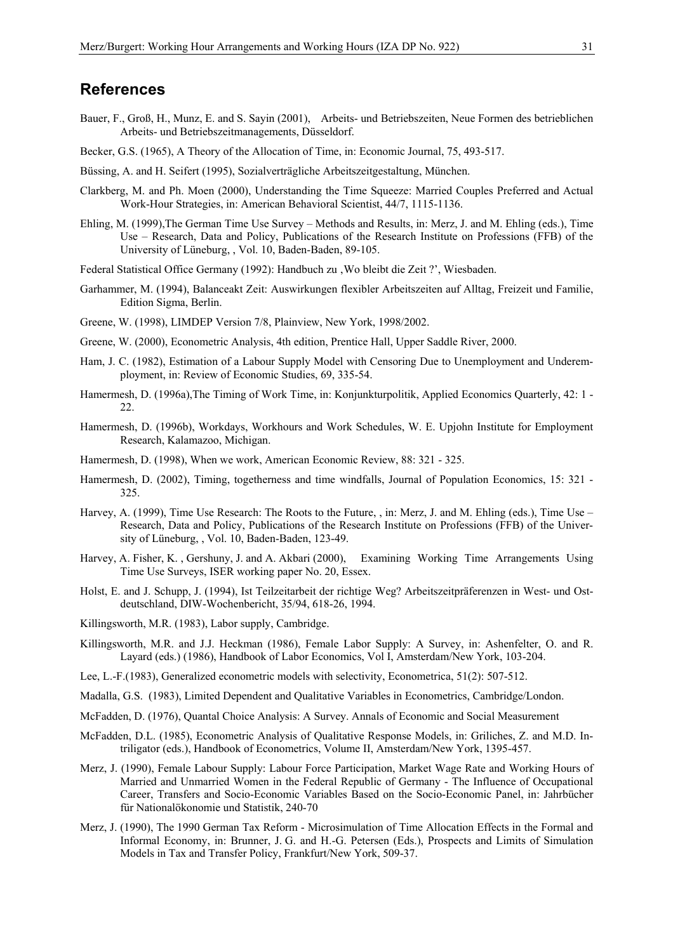#### **References**

- Bauer, F., Groß, H., Munz, E. and S. Sayin (2001), Arbeits- und Betriebszeiten, Neue Formen des betrieblichen Arbeits- und Betriebszeitmanagements, Düsseldorf.
- Becker, G.S. (1965), A Theory of the Allocation of Time, in: Economic Journal, 75, 493-517.
- Büssing, A. and H. Seifert (1995), Sozialverträgliche Arbeitszeitgestaltung, München.
- Clarkberg, M. and Ph. Moen (2000), Understanding the Time Squeeze: Married Couples Preferred and Actual Work-Hour Strategies, in: American Behavioral Scientist, 44/7, 1115-1136.
- Ehling, M. (1999),The German Time Use Survey Methods and Results, in: Merz, J. and M. Ehling (eds.), Time Use – Research, Data and Policy, Publications of the Research Institute on Professions (FFB) of the University of Lüneburg, , Vol. 10, Baden-Baden, 89-105.
- Federal Statistical Office Germany (1992): Handbuch zu 'Wo bleibt die Zeit ?', Wiesbaden.
- Garhammer, M. (1994), Balanceakt Zeit: Auswirkungen flexibler Arbeitszeiten auf Alltag, Freizeit und Familie, Edition Sigma, Berlin.
- Greene, W. (1998), LIMDEP Version 7/8, Plainview, New York, 1998/2002.
- Greene, W. (2000), Econometric Analysis, 4th edition, Prentice Hall, Upper Saddle River, 2000.
- Ham, J. C. (1982), Estimation of a Labour Supply Model with Censoring Due to Unemployment and Underemployment, in: Review of Economic Studies, 69, 335-54.
- Hamermesh, D. (1996a),The Timing of Work Time, in: Konjunkturpolitik, Applied Economics Quarterly, 42: 1 22.
- Hamermesh, D. (1996b), Workdays, Workhours and Work Schedules, W. E. Upjohn Institute for Employment Research, Kalamazoo, Michigan.
- Hamermesh, D. (1998), When we work, American Economic Review, 88: 321 325.
- Hamermesh, D. (2002), Timing, togetherness and time windfalls, Journal of Population Economics, 15: 321 325.
- Harvey, A. (1999), Time Use Research: The Roots to the Future, , in: Merz, J. and M. Ehling (eds.), Time Use Research, Data and Policy, Publications of the Research Institute on Professions (FFB) of the University of Lüneburg, , Vol. 10, Baden-Baden, 123-49.
- Harvey, A. Fisher, K. , Gershuny, J. and A. Akbari (2000), Examining Working Time Arrangements Using Time Use Surveys, ISER working paper No. 20, Essex.
- Holst, E. and J. Schupp, J. (1994), Ist Teilzeitarbeit der richtige Weg? Arbeitszeitpräferenzen in West- und Ostdeutschland, DIW-Wochenbericht, 35/94, 618-26, 1994.
- Killingsworth, M.R. (1983), Labor supply, Cambridge.
- Killingsworth, M.R. and J.J. Heckman (1986), Female Labor Supply: A Survey, in: Ashenfelter, O. and R. Layard (eds.) (1986), Handbook of Labor Economics, Vol I, Amsterdam/New York, 103-204.
- Lee, L.-F.(1983), Generalized econometric models with selectivity, Econometrica, 51(2): 507-512.
- Madalla, G.S. (1983), Limited Dependent and Qualitative Variables in Econometrics, Cambridge/London.
- McFadden, D. (1976), Quantal Choice Analysis: A Survey. Annals of Economic and Social Measurement
- McFadden, D.L. (1985), Econometric Analysis of Qualitative Response Models, in: Griliches, Z. and M.D. Intriligator (eds.), Handbook of Econometrics, Volume II, Amsterdam/New York, 1395-457.
- Merz, J. (1990), Female Labour Supply: Labour Force Participation, Market Wage Rate and Working Hours of Married and Unmarried Women in the Federal Republic of Germany - The Influence of Occupational Career, Transfers and Socio-Economic Variables Based on the Socio-Economic Panel, in: Jahrbücher für Nationalökonomie und Statistik, 240-70
- Merz, J. (1990), The 1990 German Tax Reform Microsimulation of Time Allocation Effects in the Formal and Informal Economy, in: Brunner, J. G. and H.-G. Petersen (Eds.), Prospects and Limits of Simulation Models in Tax and Transfer Policy, Frankfurt/New York, 509-37.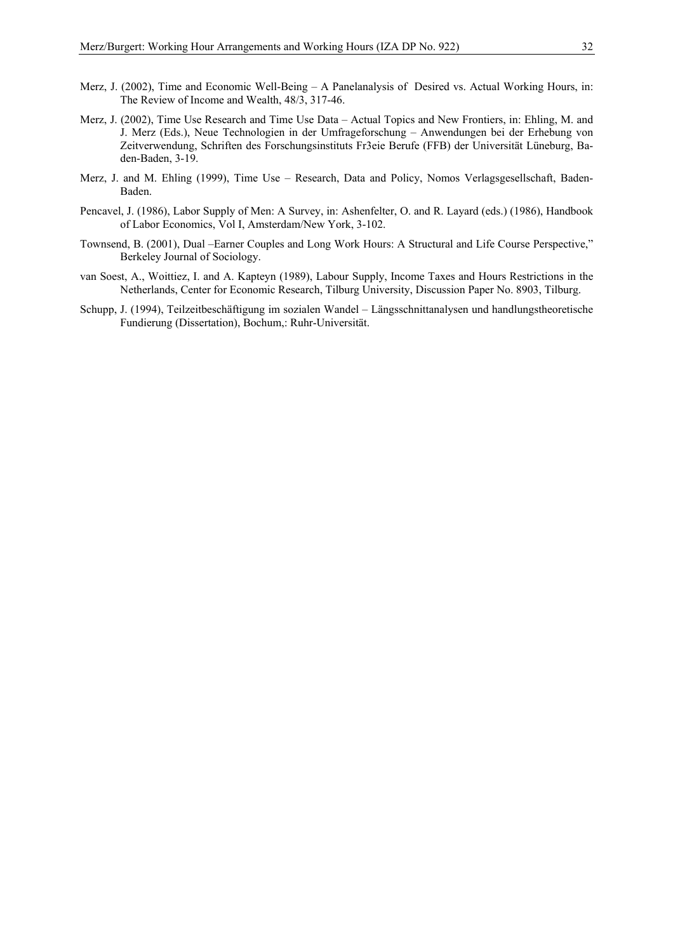- Merz, J. (2002), Time and Economic Well-Being A Panelanalysis of Desired vs. Actual Working Hours, in: The Review of Income and Wealth, 48/3, 317-46.
- Merz, J. (2002), Time Use Research and Time Use Data Actual Topics and New Frontiers, in: Ehling, M. and J. Merz (Eds.), Neue Technologien in der Umfrageforschung – Anwendungen bei der Erhebung von Zeitverwendung, Schriften des Forschungsinstituts Fr3eie Berufe (FFB) der Universität Lüneburg, Baden-Baden, 3-19.
- Merz, J. and M. Ehling (1999), Time Use Research, Data and Policy, Nomos Verlagsgesellschaft, Baden-Baden.
- Pencavel, J. (1986), Labor Supply of Men: A Survey, in: Ashenfelter, O. and R. Layard (eds.) (1986), Handbook of Labor Economics, Vol I, Amsterdam/New York, 3-102.
- Townsend, B. (2001), Dual –Earner Couples and Long Work Hours: A Structural and Life Course Perspective," Berkeley Journal of Sociology.
- van Soest, A., Woittiez, I. and A. Kapteyn (1989), Labour Supply, Income Taxes and Hours Restrictions in the Netherlands, Center for Economic Research, Tilburg University, Discussion Paper No. 8903, Tilburg.
- Schupp, J. (1994), Teilzeitbeschäftigung im sozialen Wandel Längsschnittanalysen und handlungstheoretische Fundierung (Dissertation), Bochum,: Ruhr-Universität.